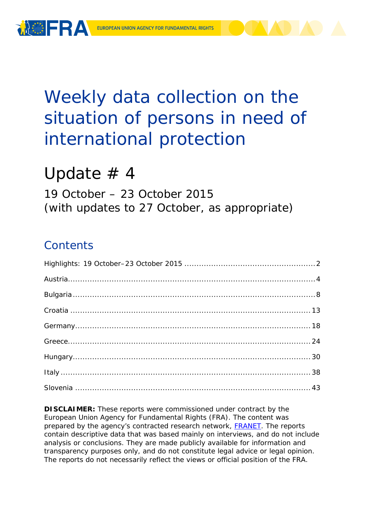

# Weekly data collection on the situation of persons in need of international protection

# Update  $# 4$

19 October – 23 October 2015 (with updates to 27 October, as appropriate)

# **Contents**

**DISCLAIMER:** These reports were commissioned under contract by the European Union Agency for Fundamental Rights (FRA). The content was prepared by the agency's contracted research network, [FRANET.](http://fra.europa.eu/en/research/franet) The reports contain descriptive data that was based mainly on interviews, and do not include analysis or conclusions. They are made publicly available for information and transparency purposes only, and do not constitute legal advice or legal opinion. The reports do not necessarily reflect the views or official position of the FRA.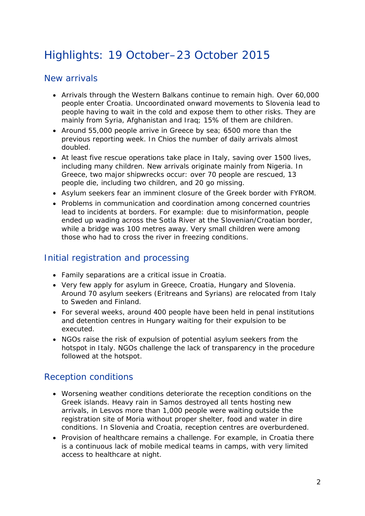# <span id="page-1-0"></span>Highlights: 19 October–23 October 2015

### New arrivals

- Arrivals through the Western Balkans continue to remain high. Over 60,000 people enter Croatia. Uncoordinated onward movements to Slovenia lead to people having to wait in the cold and expose them to other risks. They are mainly from Syria, Afghanistan and Iraq; 15% of them are children.
- Around 55,000 people arrive in Greece by sea; 6500 more than the previous reporting week. In Chios the number of daily arrivals almost doubled.
- At least five rescue operations take place in Italy, saving over 1500 lives, including many children. New arrivals originate mainly from Nigeria. In Greece, two major shipwrecks occur: over 70 people are rescued, 13 people die, including two children, and 20 go missing.
- Asylum seekers fear an imminent closure of the Greek border with FYROM.
- Problems in communication and coordination among concerned countries lead to incidents at borders. For example: due to misinformation, people ended up wading across the Sotla River at the Slovenian/Croatian border, while a bridge was 100 metres away. Very small children were among those who had to cross the river in freezing conditions.

### Initial registration and processing

- Family separations are a critical issue in Croatia.
- Very few apply for asylum in Greece, Croatia, Hungary and Slovenia. Around 70 asylum seekers (Eritreans and Syrians) are relocated from Italy to Sweden and Finland.
- For several weeks, around 400 people have been held in penal institutions and detention centres in Hungary waiting for their expulsion to be executed.
- NGOs raise the risk of expulsion of potential asylum seekers from the hotspot in Italy. NGOs challenge the lack of transparency in the procedure followed at the hotspot.

### Reception conditions

- Worsening weather conditions deteriorate the reception conditions on the Greek islands. Heavy rain in Samos destroyed all tents hosting new arrivals, in Lesvos more than 1,000 people were waiting outside the registration site of Moria without proper shelter, food and water in dire conditions. In Slovenia and Croatia, reception centres are overburdened.
- Provision of healthcare remains a challenge. For example, in Croatia there is a continuous lack of mobile medical teams in camps, with very limited access to healthcare at night.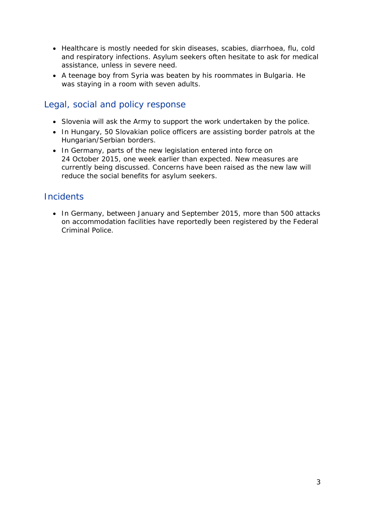- Healthcare is mostly needed for skin diseases, scabies, diarrhoea, flu, cold and respiratory infections. Asylum seekers often hesitate to ask for medical assistance, unless in severe need.
- A teenage boy from Syria was beaten by his roommates in Bulgaria. He was staying in a room with seven adults.

### Legal, social and policy response

- Slovenia will ask the Army to support the work undertaken by the police.
- In Hungary, 50 Slovakian police officers are assisting border patrols at the Hungarian/Serbian borders.
- In Germany, parts of the new legislation entered into force on 24 October 2015, one week earlier than expected. New measures are currently being discussed. Concerns have been raised as the new law will reduce the social benefits for asylum seekers.

### **Incidents**

• In Germany, between January and September 2015, more than 500 attacks on accommodation facilities have reportedly been registered by the Federal Criminal Police.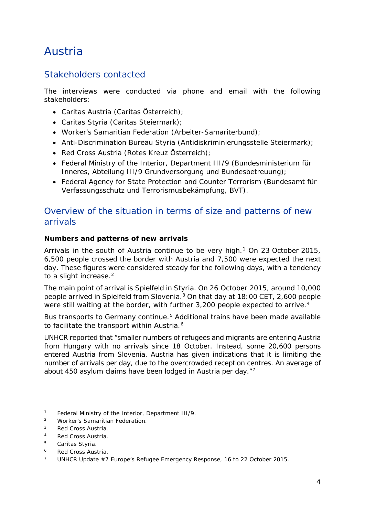# <span id="page-3-0"></span>Austria

### Stakeholders contacted

The interviews were conducted via phone and email with the following stakeholders:

- Caritas Austria (Caritas Österreich);
- Caritas Styria (Caritas Steiermark);
- Worker's Samaritian Federation (Arbeiter-Samariterbund);
- Anti-Discrimination Bureau Styria (Antidiskriminierungsstelle Steiermark);
- Red Cross Austria (Rotes Kreuz Österreich);
- Federal Ministry of the Interior, Department III/9 (Bundesministerium für Inneres, Abteilung III/9 Grundversorgung und Bundesbetreuung);
- Federal Agency for State Protection and Counter Terrorism (Bundesamt für Verfassungsschutz und Terrorismusbekämpfung, BVT).

### Overview of the situation in terms of size and patterns of new arrivals

#### **Numbers and patterns of new arrivals**

Arrivals in the south of Austria continue to be very high.<sup>[1](#page-3-1)</sup> On 23 October 2015, 6,500 people crossed the border with Austria and 7,500 were expected the next day. These figures were considered steady for the following days, with a tendency to a slight increase. $2$ 

The main point of arrival is Spielfeld in Styria. On 26 October 2015, around 10,000 people arrived in Spielfeld from Slovenia.[3](#page-3-3) On that day at 18:00 CET, 2,600 people were still waiting at the border, with further 3,200 people expected to arrive.<sup>[4](#page-3-4)</sup>

Bus transports to Germany continue.<sup>[5](#page-3-5)</sup> Additional trains have been made available to facilitate the transport within Austria.<sup>[6](#page-3-6)</sup>

UNHCR reported that "*smaller numbers of refugees and migrants are entering Austria from Hungary with no arrivals since 18 October. Instead, some 20,600 persons entered Austria from Slovenia. Austria has given indications that it is limiting the number of arrivals per day, due to the overcrowded reception centres. An average of about 450 asylum claims have been lodged in Austria per day*."[7](#page-3-7)

<sup>1</sup> Federal Ministry of the Interior, Department III/9*.* -

<span id="page-3-2"></span><span id="page-3-1"></span><sup>2</sup> Worker's Samaritian Federation.

<span id="page-3-3"></span><sup>3</sup> Red Cross Austria.

<span id="page-3-4"></span><sup>4</sup> Red Cross Austria.

<span id="page-3-5"></span><sup>5</sup> Caritas Styria*.*

<span id="page-3-6"></span><sup>&</sup>lt;sup>6</sup> Red Cross Austria.

<span id="page-3-7"></span>UNHCR Update #7 Europe's Refugee Emergency Response, 16 to 22 October 2015.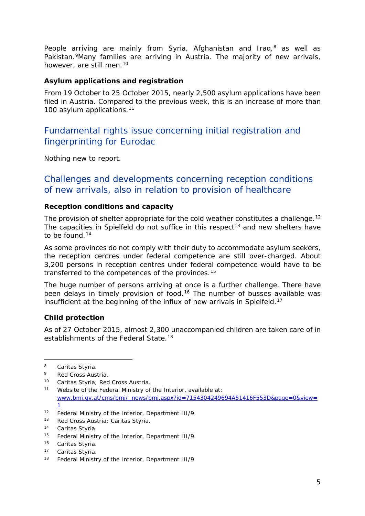<span id="page-4-1"></span>People arriving are mainly from Syria, Afghanistan and Iraq,<sup>[8](#page-4-0)</sup> as well as Pakistan.<sup>[9](#page-4-1)</sup>Many families are arriving in Austria. The majority of new arrivals, however, are still men.<sup>[10](#page-4-1)</sup>

#### **Asylum applications and registration**

From 19 October to 25 October 2015, nearly 2,500 asylum applications have been filed in Austria. Compared to the previous week, this is an increase of more than 100 asylum applications.<sup>[11](#page-4-2)</sup>

### Fundamental rights issue concerning initial registration and fingerprinting for Eurodac

Nothing new to report.

### Challenges and developments concerning reception conditions of new arrivals, also in relation to provision of healthcare

#### **Reception conditions and capacity**

The provision of shelter appropriate for the cold weather constitutes a challenge.<sup>[12](#page-4-3)</sup> The capacities in Spielfeld do not suffice in this respect<sup>[13](#page-4-1)</sup> and new shelters have to be found.<sup>[14](#page-4-1)</sup>

As some provinces do not comply with their duty to accommodate asylum seekers, the reception centres under federal competence are still over-charged. About 3,200 persons in reception centres under federal competence would have to be transferred to the competences of the provinces.<sup>[15](#page-4-4)</sup>

The huge number of persons arriving at once is a further challenge. There have been delays in timely provision of food.<sup>[16](#page-4-5)</sup> The number of busses available was insufficient at the beginning of the influx of new arrivals in Spielfeld.<sup>[17](#page-4-1)</sup>

#### **Child protection**

As of 27 October 2015, almost 2,300 unaccompanied children are taken care of in establishments of the Federal State.<sup>[18](#page-4-6)</sup>

-

<span id="page-4-0"></span><sup>8</sup> Caritas Styria*.*

<sup>9</sup> Red Cross Austria.

<sup>10</sup> Caritas Styria; Red Cross Austria.

<span id="page-4-2"></span><sup>11</sup> Website of the Federal Ministry of the Interior, available at: [www.bmi.gv.at/cms/bmi/\\_news/bmi.aspx?id=7154304249694A51416F553D&page=0&view=](http://www.bmi.gv.at/cms/bmi/_news/bmi.aspx?id=7154304249694A51416F553D&page=0&view=1) [1](http://www.bmi.gv.at/cms/bmi/_news/bmi.aspx?id=7154304249694A51416F553D&page=0&view=1)

<span id="page-4-3"></span><sup>12</sup> Federal Ministry of the Interior, Department III/9*.*

<sup>13</sup> Red Cross Austria; Caritas Styria*.*

<sup>14</sup> Caritas Styria*.*

<span id="page-4-4"></span><sup>15</sup> Federal Ministry of the Interior, Department III/9*.*

<span id="page-4-5"></span><sup>16</sup> Caritas Styria*.*

<sup>17</sup> Caritas Styria*.*

<span id="page-4-6"></span><sup>18</sup> Federal Ministry of the Interior, Department III/9*.*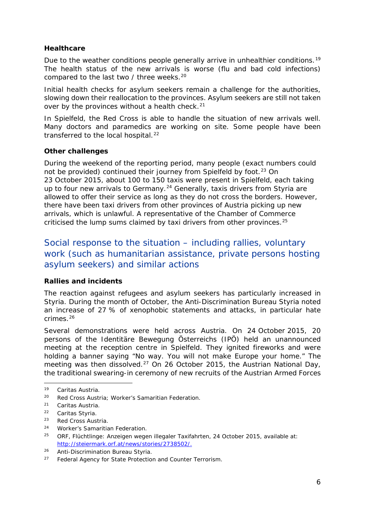#### <span id="page-5-1"></span>**Healthcare**

Due to the weather conditions people generally arrive in unhealthier conditions.<sup>[19](#page-5-0)</sup> The health status of the new arrivals is worse (flu and bad cold infections) compared to the last two / three weeks.<sup>[20](#page-5-1)</sup>

Initial health checks for asylum seekers remain a challenge for the authorities, slowing down their reallocation to the provinces. Asylum seekers are still not taken over by the provinces without a health check.<sup>[21](#page-5-2)</sup>

In Spielfeld, the Red Cross is able to handle the situation of new arrivals well. Many doctors and paramedics are working on site. Some people have been transferred to the local hospital.<sup>[22](#page-5-3)</sup>

#### **Other challenges**

During the weekend of the reporting period, many people (exact numbers could not be provided) continued their journey from Spielfeld by foot.<sup>[23](#page-5-4)</sup> On 23 October 2015, about 100 to 150 taxis were present in Spielfeld, each taking up to four new arrivals to Germany.<sup>[24](#page-5-1)</sup> Generally, taxis drivers from Styria are allowed to offer their service as long as they do not cross the borders. However, there have been taxi drivers from other provinces of Austria picking up new arrivals, which is unlawful. A representative of the Chamber of Commerce criticised the lump sums claimed by taxi drivers from other provinces.<sup>[25](#page-5-1)</sup>

### Social response to the situation – including rallies, voluntary work (such as humanitarian assistance, private persons hosting asylum seekers) and similar actions

#### **Rallies and incidents**

The reaction against refugees and asylum seekers has particularly increased in Styria. During the month of October, the Anti-Discrimination Bureau Styria noted an increase of 27 % of xenophobic statements and attacks, in particular hate crimes.[26](#page-5-5)

Several demonstrations were held across Austria. On 24 October 2015, 20 persons of the *Identitäre Bewegung Österreichs (IPÖ)* held an unannounced meeting at the reception centre in Spielfeld. They ignited fireworks and were holding a banner saying "*No way. You will not make Europe your home.*" The meeting was then dissolved.<sup>[27](#page-5-6)</sup> On 26 October 2015, the Austrian National Day, the traditional swearing-in ceremony of new recruits of the Austrian Armed Forces

<span id="page-5-0"></span><sup>19</sup> Caritas Austria*.*  $19$ 

<sup>20</sup> Red Cross Austria; Worker's Samaritian Federation.

<span id="page-5-2"></span><sup>21</sup> Caritas Austria*.*

<span id="page-5-3"></span><sup>22</sup> Caritas Styria*.*

<span id="page-5-4"></span><sup>23</sup> Red Cross Austria.

<sup>24</sup> Worker's Samaritian Federation.

<sup>25</sup> ORF, *Flüchtlinge: Anzeigen wegen illegaler Taxifahrten*, 24 October 2015, available at: [http://steiermark.orf.at/news/stories/2738502/.](http://steiermark.orf.at/news/stories/2738502/)

<span id="page-5-5"></span><sup>26</sup> Anti-Discrimination Bureau Styria*.*

<span id="page-5-6"></span><sup>27</sup> Federal Agency for State Protection and Counter Terrorism*.*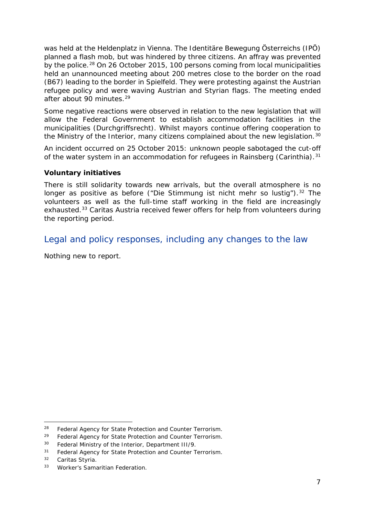<span id="page-6-6"></span>was held at the Heldenplatz in Vienna. The *Identitäre Bewegung Österreichs (IPÖ)* planned a flash mob, but was hindered by three citizens. An affray was prevented by the police.[28](#page-6-1) On 26 October 2015, 100 persons coming from local municipalities held an unannounced meeting about 200 metres close to the border on the road (B67) leading to the border in Spielfeld. They were protesting against the Austrian refugee policy and were waving Austrian and Styrian flags. The meeting ended after about 90 minutes.[29](#page-6-2)

Some negative reactions were observed in relation to the new legislation that will allow the Federal Government to establish accommodation facilities in the municipalities (*Durchgriffsrecht*). Whilst mayors continue offering cooperation to the Ministry of the Interior, many citizens complained about the new legislation.<sup>[30](#page-6-3)</sup>

An incident occurred on 25 October 2015: unknown people sabotaged the cut-off of the water system in an accommodation for refugees in Rainsberg (Carinthia).<sup>[31](#page-6-4)</sup>

#### **Voluntary initiatives**

There is still solidarity towards new arrivals, but the overall atmosphere is no longer as positive as before *("Die Stimmung ist nicht mehr so lustig")*.<sup>[32](#page-6-5)</sup> The volunteers as well as the full-time staff working in the field are increasingly exhausted.<sup>[33](#page-6-6)</sup> Caritas Austria received fewer offers for help from volunteers during the reporting period.

Legal and policy responses, including any changes to the law

<span id="page-6-0"></span>Nothing new to report.

<sup>28</sup> Federal Agency for State Protection and Counter Terrorism*.* -

<span id="page-6-2"></span><span id="page-6-1"></span><sup>29</sup> Federal Agency for State Protection and Counter Terrorism*.*

<span id="page-6-3"></span><sup>30</sup> Federal Ministry of the Interior, Department III/9.

<span id="page-6-4"></span><sup>31</sup> Federal Agency for State Protection and Counter Terrorism*.*

<span id="page-6-5"></span><sup>32</sup> Caritas Styria*.*

<sup>33</sup> Worker's Samaritian Federation.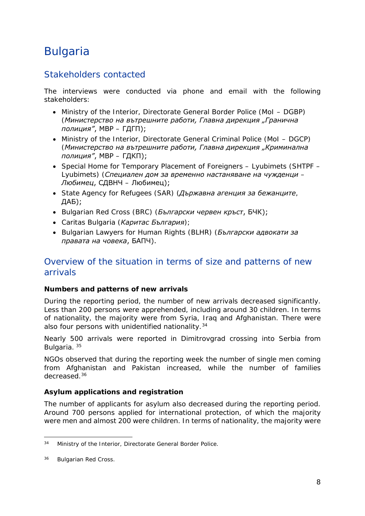# Bulgaria

### Stakeholders contacted

The interviews were conducted via phone and email with the following stakeholders:

- Ministry of the Interior, Directorate General Border Police (MoI DGBP) (*Министерство на вътрешните работи, Главна дирекция "Гранична полиция"*, МВР – ГДГП);
- Ministry of the Interior, Directorate General Criminal Police (MoI DGCP) (*Министерство на вътрешните работи, Главна дирекция "Криминална полиция"*, МВР – ГДКП);
- Special Home for Temporary Placement of Foreigners Lyubimets (SHTPF Lyubimets) (*Специален дом за временно настаняване на чужденци – Любимец*, СДВНЧ – Любимец);
- State Agency for Refugees (SAR) (*Държавна агенция за бежанците*, ДАБ);
- Bulgarian Red Cross (BRC) (*Български червен кръст*, БЧК);
- Caritas Bulgaria (*Каритас България*);
- Bulgarian Lawyers for Human Rights (BLHR) (*Български адвокати за правата на човека*, БАПЧ).

### Overview of the situation in terms of size and patterns of new arrivals

#### **Numbers and patterns of new arrivals**

During the reporting period, the number of new arrivals decreased significantly. Less than 200 persons were apprehended, including around 30 children. In terms of nationality, the majority were from Syria, Iraq and Afghanistan. There were also four persons with unidentified nationality.<sup>[34](#page-7-0)</sup>

Nearly 500 arrivals were reported in Dimitrovgrad crossing into Serbia from Bulgaria. [35](#page-7-1)

NGOs observed that during the reporting week the number of single men coming from Afghanistan and Pakistan increased, while the number of families decreased.[36](#page-7-2)

#### **Asylum applications and registration**

The number of applicants for asylum also decreased during the reporting period. Around 700 persons applied for international protection, of which the majority were men and almost 200 were children. In terms of nationality, the majority were

<span id="page-7-0"></span><sup>34</sup> Ministry of the Interior, Directorate General Border Police. -

<span id="page-7-2"></span><span id="page-7-1"></span><sup>36</sup> Bulgarian Red Cross.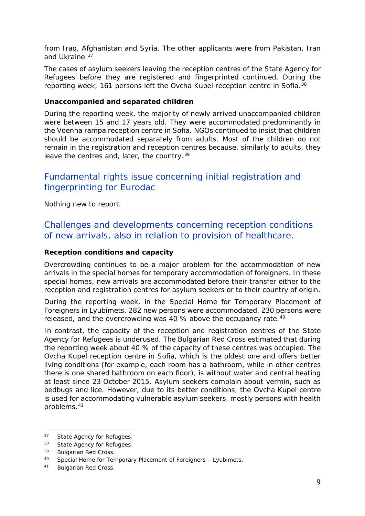from Iraq, Afghanistan and Syria. The other applicants were from Pakistan, Iran and Ukraine.<sup>[37](#page-8-0)</sup>

The cases of asylum seekers leaving the reception centres of the State Agency for Refugees before they are registered and fingerprinted continued. During the reporting week, 161 persons left the Ovcha Kupel reception centre in Sofia.<sup>[38](#page-8-1)</sup>

#### **Unaccompanied and separated children**

During the reporting week, the majority of newly arrived unaccompanied children were between 15 and 17 years old. They were accommodated predominantly in the Voenna rampa reception centre in Sofia. NGOs continued to insist that children should be accommodated separately from adults. Most of the children do not remain in the registration and reception centres because, similarly to adults, they leave the centres and, later, the country.<sup>[39](#page-8-2)</sup>

### Fundamental rights issue concerning initial registration and fingerprinting for Eurodac

Nothing new to report.

### Challenges and developments concerning reception conditions of new arrivals, also in relation to provision of healthcare.

#### **Reception conditions and capacity**

Overcrowding continues to be a major problem for the accommodation of new arrivals in the special homes for temporary accommodation of foreigners. In these special homes, new arrivals are accommodated before their transfer either to the reception and registration centres for asylum seekers or to their country of origin.

During the reporting week, in the Special Home for Temporary Placement of Foreigners in Lyubimets, 282 new persons were accommodated, 230 persons were released, and the overcrowding was [40](#page-8-3) % above the occupancy rate.<sup>40</sup>

In contrast, the capacity of the reception and registration centres of the State Agency for Refugees is underused. The Bulgarian Red Cross estimated that during the reporting week about 40 % of the capacity of these centres was occupied. The Ovcha Kupel reception centre in Sofia, which is the oldest one and offers better living conditions (for example, each room has а bathroom, while in other centres there is one shared bathroom on each floor), is without water and central heating at least since 23 October 2015. Asylum seekers complain about vermin, such as bedbugs and lice. However, due to its better conditions, the Ovcha Kupel centre is used for accommodating vulnerable asylum seekers, mostly persons with health problems.[41](#page-8-4)

j.

<span id="page-8-0"></span><sup>37</sup> State Agency for Refugees.

<span id="page-8-1"></span><sup>38</sup> State Agency for Refugees.

<span id="page-8-2"></span><sup>39</sup> Bulgarian Red Cross.

<span id="page-8-3"></span><sup>40</sup> Special Home for Temporary Placement of Foreigners – Lyubimets.

<span id="page-8-4"></span><sup>41</sup> Bulgarian Red Cross.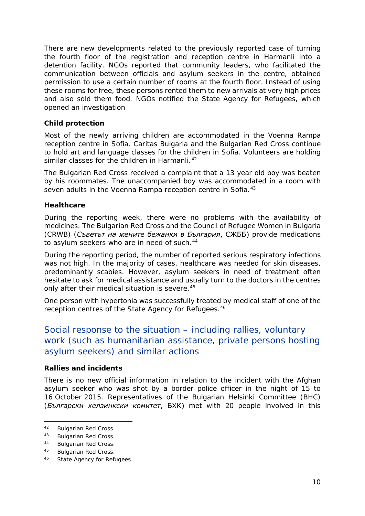There are new developments related to the previously reported case of turning the fourth floor of the registration and reception centre in Harmanli into a detention facility. NGOs reported that community leaders, who facilitated the communication between officials and asylum seekers in the centre, obtained permission to use a certain number of rooms at the fourth floor. Instead of using these rooms for free, these persons rented them to new arrivals at very high prices and also sold them food. NGOs notified the State Agency for Refugees, which opened an investigation

#### **Child protection**

Most of the newly arriving children are accommodated in the Voenna Rampa reception centre in Sofia. Caritas Bulgaria and the Bulgarian Red Cross continue to hold art and language classes for the children in Sofia. Volunteers are holding similar classes for the children in Harmanli.<sup>[42](#page-9-0)</sup>

The Bulgarian Red Cross received a complaint that a 13 year old boy was beaten by his roommates. The unaccompanied boy was accommodated in a room with seven adults in the Voenna Rampa reception centre in Sofia.<sup>[43](#page-9-1)</sup>

#### **Healthcare**

During the reporting week, there were no problems with the availability of medicines. The Bulgarian Red Cross and the Council of Refugee Women in Bulgaria (CRWB) (*Съветът на жените бежанки в България*, СЖББ) provide medications to asylum seekers who are in need of such.<sup>[44](#page-9-2)</sup>

During the reporting period, the number of reported serious respiratory infections was not high. In the majority of cases, healthcare was needed for skin diseases, predominantly scabies. However, asylum seekers in need of treatment often hesitate to ask for medical assistance and usually turn to the doctors in the centres only after their medical situation is severe.<sup>[45](#page-9-3)</sup>

One person with hypertonia was successfully treated by medical staff of one of the reception centres of the State Agency for Refugees.<sup>46</sup>

### Social response to the situation – including rallies, voluntary work (such as humanitarian assistance, private persons hosting asylum seekers) and similar actions

#### **Rallies and incidents**

There is no new official information in relation to the incident with the Afghan asylum seeker who was shot by a border police officer in the night of 15 to 16 October 2015. Representatives of the Bulgarian Helsinki Committee (BHC) (*Български хелзинкски комитет*, БХК) met with 20 people involved in this

<span id="page-9-0"></span>Bulgarian Red Cross.  $42$ 

<span id="page-9-1"></span><sup>43</sup> Bulgarian Red Cross.

<span id="page-9-2"></span><sup>44</sup> Bulgarian Red Cross.

<span id="page-9-3"></span><sup>45</sup> Bulgarian Red Cross.

<span id="page-9-4"></span><sup>46</sup> State Agency for Refugees.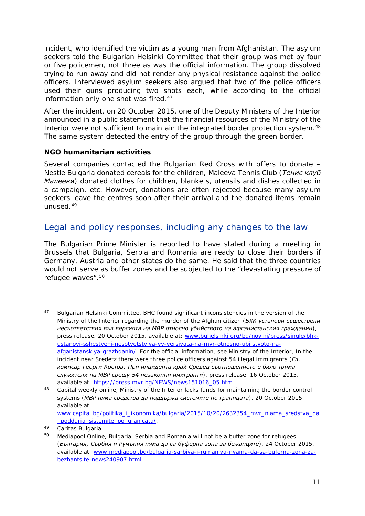incident, who identified the victim as a young man from Afghanistan. The asylum seekers told the Bulgarian Helsinki Committee that their group was met by four or five policemen, not three as was the official information. The group dissolved trying to run away and did not render any physical resistance against the police officers. Interviewed asylum seekers also argued that two of the police officers used their guns producing two shots each, while according to the official information only one shot was fired.<sup>[47](#page-10-0)</sup>

After the incident, on 20 October 2015, one of the Deputy Ministers of the Interior announced in a public statement that the financial resources of the Ministry of the Interior were not sufficient to maintain the integrated border protection system.<sup>[48](#page-10-1)</sup> The same system detected the entry of the group through the green border.

#### **NGO humanitarian activities**

Several companies contacted the Bulgarian Red Cross with offers to donate – Nestle Bulgaria donated cereals for the children, Maleeva Tennis Club (*Тенис клуб Малееви*) donated clothes for children, blankets, utensils and dishes collected in a campaign, etc. However, donations are often rejected because many asylum seekers leave the centres soon after their arrival and the donated items remain unused.[49](#page-10-2)

### Legal and policy responses, including any changes to the law

The Bulgarian Prime Minister is reported to have stated during a meeting in Brussels that Bulgaria, Serbia and Romania are ready to close their borders if Germany, Austria and other states do the same. He said that the three countries would not serve as buffer zones and be subjected to the "devastating pressure of refugee waves".[50](#page-10-3)

<span id="page-10-0"></span><sup>47</sup> Bulgarian Helsinki Committee, BHC found significant inconsistencies in the version of the Ministry of the Interior regarding the murder of the Afghan citizen (*БХК установи съществени несъответствия във версията на МВР относно убийството на афганистанския гражданин*), press release, 20 October 2015, available at: [www.bghelsinki.org/bg/novini/press/single/bhk](http://www.bghelsinki.org/bg/novini/press/single/bhk-ustanovi-sshestveni-nesotvetstviya-vv-versiyata-na-mvr-otnosno-ubijstvoto-na-afganistanskiya-grazhdanin/)[ustanovi-sshestveni-nesotvetstviya-vv-versiyata-na-mvr-otnosno-ubijstvoto-na](http://www.bghelsinki.org/bg/novini/press/single/bhk-ustanovi-sshestveni-nesotvetstviya-vv-versiyata-na-mvr-otnosno-ubijstvoto-na-afganistanskiya-grazhdanin/)[afganistanskiya-grazhdanin/.](http://www.bghelsinki.org/bg/novini/press/single/bhk-ustanovi-sshestveni-nesotvetstviya-vv-versiyata-na-mvr-otnosno-ubijstvoto-na-afganistanskiya-grazhdanin/) For the official information, see Ministry of the Interior, In the incident near Sredetz there were three police officers against 54 illegal immigrants (*Гл. комисар Георги Костов: При инцидента край Средец съотношението е било трима служители на МВР срещу 54 незаконни имигранти*), press release, 16 October 2015, available at: [https://press.mvr.bg/NEWS/news151016\\_05.htm.](https://press.mvr.bg/NEWS/news151016_05.htm) 47

<span id="page-10-1"></span><sup>48</sup> Capital weekly online, Ministry of the Interior lacks funds for maintaining the border control systems (*МВР няма средства да поддържа системите по границата*), 20 October 2015, available at: [www.capital.bg/politika\\_i\\_ikonomika/bulgaria/2015/10/20/2632354\\_mvr\\_niama\\_sredstva\\_da](http://www.capital.bg/politika_i_ikonomika/bulgaria/2015/10/20/2632354_mvr_niama_sredstva_da_poddurja_sistemite_po_granicata/) [\\_poddurja\\_sistemite\\_po\\_granicata/.](http://www.capital.bg/politika_i_ikonomika/bulgaria/2015/10/20/2632354_mvr_niama_sredstva_da_poddurja_sistemite_po_granicata/)

<span id="page-10-2"></span><sup>49</sup> Caritas Bulgaria.

<span id="page-10-3"></span><sup>&</sup>lt;sup>50</sup> Mediapool Online, Bulgaria, Serbia and Romania will not be a buffer zone for refugees (*България, Сърбия и Румъния няма да са буферна зона за бежанците*)*,* 24 October 2015, available at: [www.mediapool.bg/bulgaria-sarbiya-i-rumaniya-nyama-da-sa-buferna-zona-za](http://www.mediapool.bg/bulgaria-sarbiya-i-rumaniya-nyama-da-sa-buferna-zona-za-bezhantsite-news240907.html)[bezhantsite-news240907.html.](http://www.mediapool.bg/bulgaria-sarbiya-i-rumaniya-nyama-da-sa-buferna-zona-za-bezhantsite-news240907.html)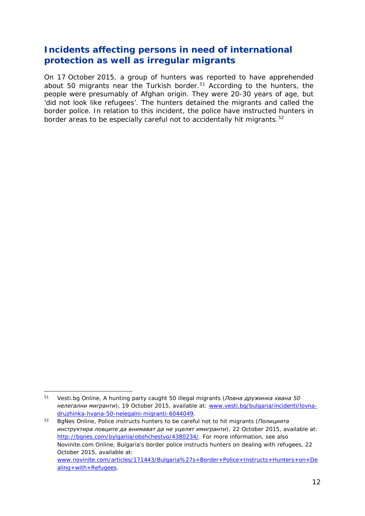### <span id="page-11-1"></span>**Incidents affecting persons in need of international protection as well as irregular migrants**

On 17 October 2015, a group of hunters was reported to have apprehended about 50 migrants near the Turkish border.<sup>[51](#page-11-0)</sup> According to the hunters, the people were presumably of Afghan origin. They were 20-30 years of age, but 'did not look like refugees'. The hunters detained the migrants and called the border police. In relation to this incident, the police have instructed hunters in border areas to be especially careful not to accidentally hit migrants.<sup>[52](#page-11-1)</sup>

<span id="page-11-0"></span><sup>51</sup> Vesti.bg Online, A hunting party caught 50 illegal migrants (*Ловна дружинка хвана 50 нелегални мигранти*)*,* 19 October 2015, available at: [www.vesti.bg/bulgaria/incidenti/lovna](http://www.vesti.bg/bulgaria/incidenti/lovna-druzhinka-hvana-50-nelegalni-migranti-6044049)[druzhinka-hvana-50-nelegalni-migranti-6044049.](http://www.vesti.bg/bulgaria/incidenti/lovna-druzhinka-hvana-50-nelegalni-migranti-6044049) -

<sup>52</sup> BgNes Online, Police instructs hunters to be careful not to hit migrants (*Полицията инструктира ловците да внимават да не уцелят имигранти*)*,* 22 October 2015, available at: [http://bgnes.com/bylgariia/obshchestvo/4380234/.](http://bgnes.com/bylgariia/obshchestvo/4380234/) For more information, see also Novinite.com Online, Bulgaria's border police instructs hunters on dealing with refugees, 22 October 2015, available at: [www.novinite.com/articles/171443/Bulgaria%27s+Border+Police+Instructs+Hunters+on+De](http://www.novinite.com/articles/171443/Bulgaria%27s+Border+Police+Instructs+Hunters+on+Dealing+with+Refugees) [aling+with+Refugees.](http://www.novinite.com/articles/171443/Bulgaria%27s+Border+Police+Instructs+Hunters+on+Dealing+with+Refugees)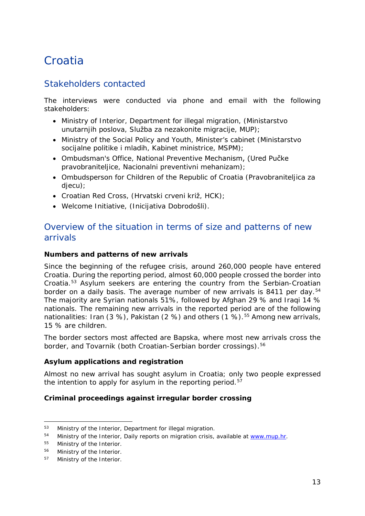# <span id="page-12-0"></span>**Croatia**

### Stakeholders contacted

The interviews were conducted via phone and email with the following stakeholders:

- Ministry of Interior, Department for illegal migration, (Ministarstvo unutarnjih poslova, Služba za nezakonite migracije, MUP);
- Ministry of the Social Policy and Youth, Minister's cabinet (Ministarstvo socijalne politike i mladih, Kabinet ministrice, MSPM);
- Ombudsman's Office, National Preventive Mechanism, (Ured Pučke pravobraniteljice, Nacionalni preventivni mehanizam);
- Ombudsperson for Children of the Republic of Croatia (Pravobraniteljica za djecu);
- Croatian Red Cross, (Hrvatski crveni križ, HCK);
- Welcome Initiative, (Inicijativa Dobrodošli).

### Overview of the situation in terms of size and patterns of new arrivals

#### **Numbers and patterns of new arrivals**

Since the beginning of the refugee crisis, around 260,000 people have entered Croatia. During the reporting period, almost 60,000 people crossed the border into Croatia.[53](#page-12-1) Asylum seekers are entering the country from the Serbian-Croatian border on a daily basis. The average number of new arrivals is 8411 per day.<sup>[54](#page-12-2)</sup> The majority are Syrian nationals 51%, followed by Afghan 29 % and Iraqi 14 % nationals. The remaining new arrivals in the reported period are of the following nationalities: Iran  $(3 \%)$ , Pakistan  $(2 \%)$  and others  $(1 \%)$ .<sup>[55](#page-12-3)</sup> Among new arrivals, 15 % are children.

The border sectors most affected are Bapska, where most new arrivals cross the border, and Tovarnik (both Croatian-Serbian border crossings).<sup>[56](#page-12-4)</sup>

#### **Asylum applications and registration**

Almost no new arrival has sought asylum in Croatia; only two people expressed the intention to apply for asylum in the reporting period.<sup>[57](#page-12-5)</sup>

#### **Criminal proceedings against irregular border crossing**

<span id="page-12-1"></span>Ministry of the Interior, Department for illegal migration.  $53<sup>1</sup>$ 

<span id="page-12-2"></span><sup>&</sup>lt;sup>54</sup> Ministry of the Interior, Daily reports on migration crisis, available at [www.mup.hr.](http://www.mup.hr/)

<span id="page-12-3"></span><sup>55</sup> Ministry of the Interior.

<span id="page-12-4"></span><sup>56</sup> Ministry of the Interior.

<span id="page-12-5"></span><sup>57</sup> Ministry of the Interior.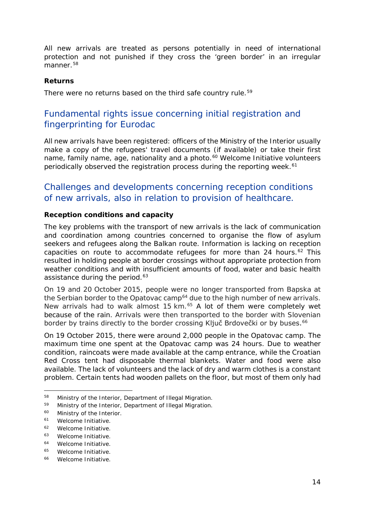<span id="page-13-3"></span>All new arrivals are treated as persons potentially in need of international protection and not punished if they cross the 'green border' in an irregular  $m$ anner.<sup>[58](#page-13-0)</sup>

#### **Returns**

There were no returns based on the third safe country rule.<sup>[59](#page-13-1)</sup>

### Fundamental rights issue concerning initial registration and fingerprinting for Eurodac

All new arrivals have been registered: officers of the Ministry of the Interior usually make a copy of the refugees' travel documents (if available) or take their first name, family name, age, nationality and a photo.<sup>[60](#page-13-2)</sup> Welcome Initiative volunteers periodically observed the registration process during the reporting week.<sup>[61](#page-13-3)</sup>

### Challenges and developments concerning reception conditions of new arrivals, also in relation to provision of healthcare.

#### **Reception conditions and capacity**

The key problems with the transport of new arrivals is the lack of communication and coordination among countries concerned to organise the flow of asylum seekers and refugees along the Balkan route. Information is lacking on reception capacities on route to accommodate refugees for more than 24 hours.<sup>[62](#page-13-4)</sup> This resulted in holding people at border crossings without appropriate protection from weather conditions and with insufficient amounts of food, water and basic health assistance during the period.<sup>[63](#page-13-3)</sup>

On 19 and 20 October 2015, people were no longer transported from Bapska at the Serbian border to the Opatovac camp<sup>[64](#page-13-5)</sup> due to the high number of new arrivals. New arrivals had to walk almost 15 km.<sup>[65](#page-13-3)</sup> A lot of them were completely wet because of the rain. Arrivals were then transported to the border with Slovenian border by trains directly to the border crossing Ključ Brdovečki or by buses.<sup>[66](#page-13-3)</sup>

On 19 October 2015, there were around 2,000 people in the Opatovac camp. The maximum time one spent at the Opatovac camp was 24 hours. Due to weather condition, raincoats were made available at the camp entrance, while the Croatian Red Cross tent had disposable thermal blankets. Water and food were also available. The lack of volunteers and the lack of dry and warm clothes is a constant problem. Certain tents had wooden pallets on the floor, but most of them only had

<sup>58</sup> Ministry of the Interior, Department of Illegal Migration. -

<span id="page-13-1"></span><span id="page-13-0"></span><sup>59</sup> Ministry of the Interior, Department of Illegal Migration.

<span id="page-13-2"></span><sup>60</sup> Ministry of the Interior.

<sup>61</sup> Welcome Initiative.

<span id="page-13-4"></span><sup>62</sup> Welcome Initiative.

<sup>63</sup> Welcome Initiative.

<span id="page-13-5"></span><sup>64</sup> Welcome Initiative.

<sup>65</sup> Welcome Initiative.

<sup>66</sup> Welcome Initiative.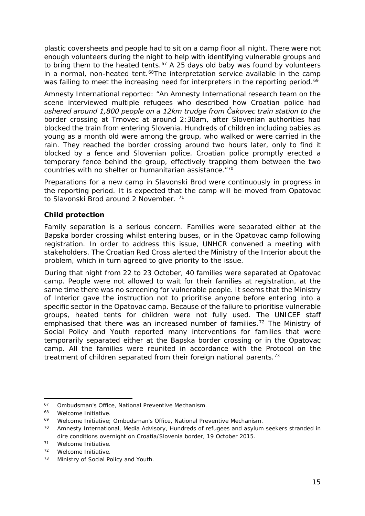<span id="page-14-6"></span>plastic coversheets and people had to sit on a damp floor all night. There were not enough volunteers during the night to help with identifying vulnerable groups and to bring them to the heated tents.<sup>[67](#page-14-0)</sup> A 25 days old baby was found by volunteers in a normal, non-heated tent.<sup>[68](#page-14-1)</sup>The interpretation service available in the camp was failing to meet the increasing need for interpreters in the reporting period.<sup>[69](#page-14-2)</sup>

Amnesty International reported: "*An Amnesty International research team on the scene interviewed multiple refugees who described how Croatian police had ushered around 1,800 people on a 12km trudge from Čakovec train station to the border crossing at Trnovec at around 2:30am, after Slovenian authorities had blocked the train from entering Slovenia. Hundreds of children including babies as young as a month old were among the group, who walked or were carried in the*  rain. They reached the border crossing around two hours later, only to find it *blocked by a fence and Slovenian police. Croatian police promptly erected a temporary fence behind the group, effectively trapping them between the two countries with no shelter or humanitarian assistance*."[70](#page-14-3)

Preparations for a new camp in Slavonski Brod were continuously in progress in the reporting period. It is expected that the camp will be moved from Opatovac to Slavonski Brod around 2 November. <sup>[71](#page-14-4)</sup>

#### **Child protection**

Family separation is a serious concern. Families were separated either at the Bapska border crossing whilst entering buses, or in the Opatovac camp following registration. In order to address this issue, UNHCR convened a meeting with stakeholders. The Croatian Red Cross alerted the Ministry of the Interior about the problem, which in turn agreed to give priority to the issue.

During that night from 22 to 23 October, 40 families were separated at Opatovac camp. People were not allowed to wait for their families at registration, at the same time there was no screening for vulnerable people. It seems that the Ministry of Interior gave the instruction not to prioritise anyone before entering into a specific sector in the Opatovac camp. Because of the failure to prioritise vulnerable groups, heated tents for children were not fully used. The UNICEF staff emphasised that there was an increased number of families.<sup>[72](#page-14-5)</sup> The Ministry of Social Policy and Youth reported many interventions for families that were temporarily separated either at the Bapska border crossing or in the Opatovac camp. All the families were reunited in accordance with the *Protocol on the treatment of children separated from their foreign national parents.[73](#page-14-6)*

<span id="page-14-0"></span><sup>67</sup> Ombudsman's Office, National Preventive Mechanism. -

<span id="page-14-1"></span><sup>68</sup> Welcome Initiative.

<span id="page-14-2"></span><sup>69</sup> Welcome Initiative; Ombudsman's Office, National Preventive Mechanism.

<span id="page-14-3"></span><sup>&</sup>lt;sup>70</sup> Amnesty International, Media Advisory, Hundreds of refugees and asylum seekers stranded in dire conditions overnight on Croatia/Slovenia border, 19 October 2015.

<span id="page-14-4"></span><sup>71</sup> Welcome Initiative.

<span id="page-14-5"></span><sup>72</sup> Welcome Initiative.

<sup>73</sup> Ministry of Social Policy and Youth.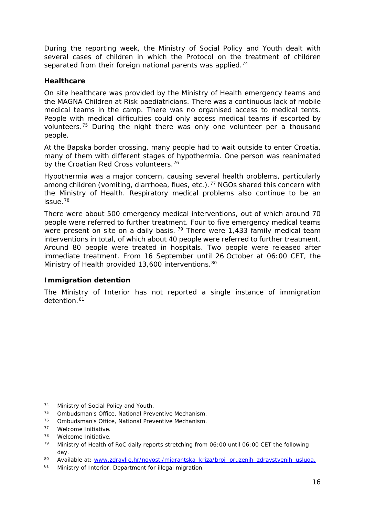<span id="page-15-4"></span>During the reporting week, the Ministry of Social Policy and Youth dealt with several cases of children in which the *Protocol on the treatment of children*  separated from their foreign national parents was applied.<sup>[74](#page-15-0)</sup>

#### **Healthcare**

On site healthcare was provided by the Ministry of Health emergency teams and the MAGNA Children at Risk paediatricians. There was a continuous lack of mobile medical teams in the camp. There was no organised access to medical tents. People with medical difficulties could only access medical teams if escorted by volunteers.[75](#page-15-1) During the night there was only one volunteer per a thousand people.

At the Bapska border crossing, many people had to wait outside to enter Croatia, many of them with different stages of hypothermia. One person was reanimated by the Croatian Red Cross volunteers.<sup>[76](#page-15-2)</sup>

Hypothermia was a major concern, causing several health problems, particularly among children (vomiting, diarrhoea, flues, etc.).<sup>[77](#page-15-3)</sup> NGOs shared this concern with the Ministry of Health. Respiratory medical problems also continue to be an issue.[78](#page-15-4)

There were about 500 emergency medical interventions, out of which around 70 people were referred to further treatment. Four to five emergency medical teams were present on site on a daily basis.  $79$  There were 1,433 family medical team interventions in total, of which about 40 people were referred to further treatment. Around 80 people were treated in hospitals. Two people were released after immediate treatment. From 16 September until 26 October at 06:00 CET, the Ministry of Health provided 13,600 interventions. [80](#page-15-4)

#### **Immigration detention**

The Ministry of Interior has not reported a single instance of immigration detention.<sup>[81](#page-15-6)</sup>

<span id="page-15-0"></span>Ministry of Social Policy and Youth. 74

<span id="page-15-1"></span><sup>75</sup> Ombudsman's Office, National Preventive Mechanism.

<sup>76</sup> Ombudsman's Office, National Preventive Mechanism.

<span id="page-15-3"></span><span id="page-15-2"></span><sup>77</sup> Welcome Initiative.

<sup>78</sup> Welcome Initiative.

<span id="page-15-5"></span><sup>79</sup> Ministry of Health of RoC daily reports stretching from 06:00 until 06:00 CET the following day.

<sup>80</sup> Available at: [www.zdravlje.hr/novosti/migrantska\\_kriza/broj\\_pruzenih\\_zdravstvenih\\_usluga.](http://www.zdravlje.hr/novosti/migrantska_kriza/broj_pruzenih_zdravstvenih_usluga)<br>81 Ministry of Interior Denartment for illegal migration

<span id="page-15-6"></span>Ministry of Interior, Department for illegal migration.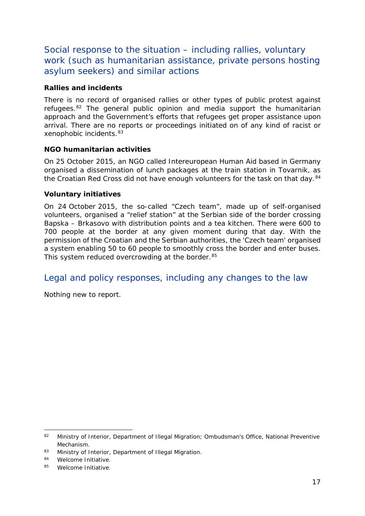<span id="page-16-1"></span>Social response to the situation – including rallies, voluntary work (such as humanitarian assistance, private persons hosting asylum seekers) and similar actions

#### **Rallies and incidents**

There is no record of organised rallies or other types of public protest against refugees. $82$  The general public opinion and media support the humanitarian approach and the Government's efforts that refugees get proper assistance upon arrival. There are no reports or proceedings initiated on of any kind of racist or xenophobic incidents.[83](#page-16-1)

#### **NGO humanitarian activities**

On 25 October 2015, an NGO called Intereuropean Human Aid based in Germany organised a dissemination of lunch packages at the train station in Tovarnik, as the Croatian Red Cross did not have enough volunteers for the task on that day.<sup>[84](#page-16-2)</sup>

#### **Voluntary initiatives**

On 24 October 2015, the so-called "Czech team", made up of self-organised volunteers, organised a "relief station" at the Serbian side of the border crossing Bapska – Brkasovo with distribution points and a tea kitchen. There were 600 to 700 people at the border at any given moment during that day. With the permission of the Croatian and the Serbian authorities, the 'Czech team' organised a system enabling 50 to 60 people to smoothly cross the border and enter buses. This system reduced overcrowding at the border.<sup>[85](#page-16-3)</sup>

### Legal and policy responses, including any changes to the law

Nothing new to report.

<span id="page-16-0"></span><sup>82</sup> Ministry of Interior, Department of Illegal Migration; Ombudsman's Office, National Preventive Mechanism. j.

<sup>83</sup> Ministry of Interior, Department of Illegal Migration.

<span id="page-16-2"></span><sup>84</sup> Welcome Initiative.

<span id="page-16-3"></span><sup>85</sup> Welcome Initiative.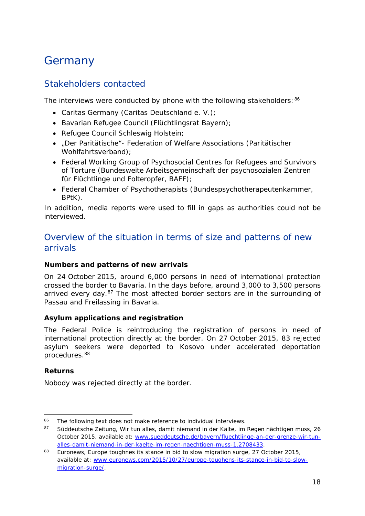# <span id="page-17-0"></span>**Germany**

### Stakeholders contacted

The interviews were conducted by phone with the following stakeholders: [86](#page-17-1)

- Caritas Germany (Caritas Deutschland e. V.);
- Bavarian Refugee Council (Flüchtlingsrat Bayern);
- Refugee Council Schleswig Holstein;
- "Der Paritätische"- Federation of Welfare Associations (Paritätischer Wohlfahrtsverband);
- Federal Working Group of Psychosocial Centres for Refugees and Survivors of Torture (Bundesweite Arbeitsgemeinschaft der psychosozialen Zentren für Flüchtlinge und Folteropfer, BAFF);
- Federal Chamber of Psychotherapists (Bundespsychotherapeutenkammer, BPtK).

In addition, media reports were used to fill in gaps as authorities could not be interviewed.

### Overview of the situation in terms of size and patterns of new arrivals

#### **Numbers and patterns of new arrivals**

On 24 October 2015, around 6,000 persons in need of international protection crossed the border to Bavaria. In the days before, around 3,000 to 3,500 persons arrived every day. $87$  The most affected border sectors are in the surrounding of Passau and Freilassing in Bavaria.

#### **Asylum applications and registration**

The Federal Police is reintroducing the registration of persons in need of international protection directly at the border. On 27 October 2015, 83 rejected asylum seekers were deported to Kosovo under accelerated deportation procedures.[88](#page-17-3)

#### **Returns**

Nobody was rejected directly at the border.

<span id="page-17-1"></span>The following text does not make reference to individual interviews. 86

<span id="page-17-2"></span><sup>87</sup> Süddeutsche Zeitung, *Wir tun alles, damit niemand in der Kälte, im Regen nächtigen* muss, 26 October 2015, available at: [www.sueddeutsche.de/bayern/fluechtlinge-an-der-grenze-wir-tun](http://www.sueddeutsche.de/bayern/fluechtlinge-an-der-grenze-wir-tun-alles-damit-niemand-in-der-kaelte-im-regen-naechtigen-muss-1.2708433)[alles-damit-niemand-in-der-kaelte-im-regen-naechtigen-muss-1.2708433.](http://www.sueddeutsche.de/bayern/fluechtlinge-an-der-grenze-wir-tun-alles-damit-niemand-in-der-kaelte-im-regen-naechtigen-muss-1.2708433)

<span id="page-17-3"></span><sup>88</sup> Euronews, *Europe toughnes its stance in bid to slow migration surge,* 27 October 2015, available at: [www.euronews.com/2015/10/27/europe-toughens-its-stance-in-bid-to-slow](http://www.euronews.com/2015/10/27/europe-toughens-its-stance-in-bid-to-slow-migration-surge/)[migration-surge/.](http://www.euronews.com/2015/10/27/europe-toughens-its-stance-in-bid-to-slow-migration-surge/)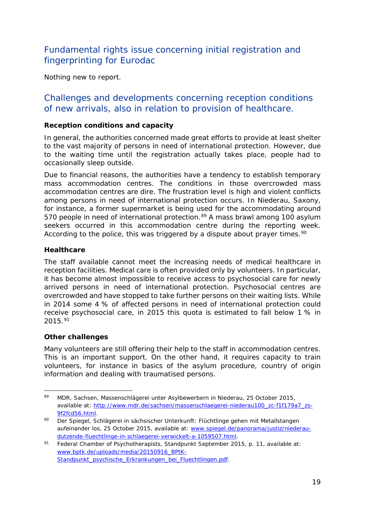### <span id="page-18-1"></span>Fundamental rights issue concerning initial registration and fingerprinting for Eurodac

Nothing new to report.

### Challenges and developments concerning reception conditions of new arrivals, also in relation to provision of healthcare.

#### **Reception conditions and capacity**

In general, the authorities concerned made great efforts to provide at least shelter to the vast majority of persons in need of international protection. However, due to the waiting time until the registration actually takes place, people had to occasionally sleep outside.

Due to financial reasons, the authorities have a tendency to establish temporary mass accommodation centres. The conditions in those overcrowded mass accommodation centres are dire. The frustration level is high and violent conflicts among persons in need of international protection occurs. In Niederau, Saxony, for instance, a former supermarket is being used for the accommodating around 570 people in need of international protection.<sup>[89](#page-18-0)</sup> A mass brawl among 100 asylum seekers occurred in this accommodation centre during the reporting week. According to the police, this was triggered by a dispute about prayer times.<sup>[90](#page-18-1)</sup>

#### **Healthcare**

The staff available cannot meet the increasing needs of medical healthcare in reception facilities. Medical care is often provided only by volunteers. In particular, it has become almost impossible to receive access to psychosocial care for newly arrived persons in need of international protection. Psychosocial centres are overcrowded and have stopped to take further persons on their waiting lists. While in 2014 some 4 % of affected persons in need of international protection could receive psychosocial care, in 2015 this quota is estimated to fall below 1 % in 2015.[91](#page-18-2)

#### **Other challenges**

Many volunteers are still offering their help to the staff in accommodation centres. This is an important support. On the other hand, it requires capacity to train volunteers, for instance in basics of the asylum procedure, country of origin information and dealing with traumatised persons.

<span id="page-18-0"></span><sup>89</sup> MDR, Sachsen, *Massenschlägerei unter Asylbewerbern in Niederau,* 25 October 2015, available at: [http://www.mdr.de/sachsen/massenschlaegerei-niederau100\\_zc-f1f179a7\\_zs-](http://www.mdr.de/sachsen/massenschlaegerei-niederau100_zc-f1f179a7_zs-9f2fcd56.html)[9f2fcd56.html.](http://www.mdr.de/sachsen/massenschlaegerei-niederau100_zc-f1f179a7_zs-9f2fcd56.html) -

<sup>90</sup> Der Spiegel, *Schlägerei in sächsischer Unterkunft: Flüchtlinge gehen mit Metallstangen aufeinander los,* 25 October 2015, available at: [www.spiegel.de/panorama/justiz/niederau](http://www.spiegel.de/panorama/justiz/niederau-dutzende-fluechtlinge-in-schlaegerei-verwickelt-a-1059507.html)[dutzende-fluechtlinge-in-schlaegerei-verwickelt-a-1059507.html.](http://www.spiegel.de/panorama/justiz/niederau-dutzende-fluechtlinge-in-schlaegerei-verwickelt-a-1059507.html)

<span id="page-18-2"></span><sup>91</sup> Federal Chamber of Psychotherapists, Standpunkt September 2015, p. 11, available at: [www.bptk.de/uploads/media/20150916\\_BPtK-](http://www.bptk.de/uploads/media/20150916_BPtK-Standpunkt_psychische_Erkrankungen_bei_Fluechtlingen.pdf)Standpunkt psychische Erkrankungen bei Fluechtlingen.pdf.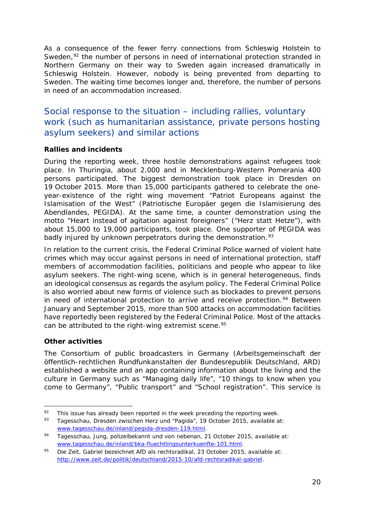<span id="page-19-3"></span>As a consequence of the fewer ferry connections from Schleswig Holstein to Sweden, $92$  the number of persons in need of international protection stranded in Northern Germany on their way to Sweden again increased dramatically in Schleswig Holstein. However, nobody is being prevented from departing to Sweden. The waiting time becomes longer and, therefore, the number of persons in need of an accommodation increased.

### Social response to the situation – including rallies, voluntary work (such as humanitarian assistance, private persons hosting asylum seekers) and similar actions

#### **Rallies and incidents**

During the reporting week, three hostile demonstrations against refugees took place. In Thuringia, about 2,000 and in Mecklenburg-Western Pomerania 400 persons participated. The biggest demonstration took place in Dresden on 19 October 2015. More than 15,000 participants gathered to celebrate the oneyear-existence of the right wing movement "Patriot Europeans against the Islamisation of the West" (*Patriotische Europäer gegen die Islamisierung des Abendlandes, PEGIDA*). At the same time, a counter demonstration using the motto "Heart instead of agitation against foreigners" ("*Herz statt Hetze*"), with about 15,000 to 19,000 participants, took place. One supporter of PEGIDA was badly injured by unknown perpetrators during the demonstration.<sup>[93](#page-19-1)</sup>

In relation to the current crisis, the Federal Criminal Police warned of violent hate crimes which may occur against persons in need of international protection, staff members of accommodation facilities, politicians and people who appear to like asylum seekers. The right-wing scene, which is in general heterogeneous, finds an ideological consensus as regards the asylum policy. The Federal Criminal Police is also worried about new forms of violence such as blockades to prevent persons in need of international protection to arrive and receive protection.<sup>[94](#page-19-2)</sup> Between January and September 2015, more than 500 attacks on accommodation facilities have reportedly been registered by the Federal Criminal Police. Most of the attacks can be attributed to the right-wing extremist scene.<sup>95</sup>

#### **Other activities**

The Consortium of public broadcasters in Germany (*Arbeitsgemeinschaft der öffentlich-rechtlichen Rundfunkanstalten der Bundesrepublik Deutschland, ARD*) established a website and an app containing information about the living and the culture in Germany such as "Managing daily life", "10 things to know when you come to Germany", "Public transport" and "School registration". This service is

<span id="page-19-0"></span>This issue has already been reported in the week preceding the reporting week. 92

<span id="page-19-1"></span><sup>93</sup> Tagesschau, *Dresden zwischen Herz und "Pagida",* 19 October 2015, available at: [www.tagesschau.de/inland/pegida-dresden-119.html.](http://www.tagesschau.de/inland/pegida-dresden-119.html)

<span id="page-19-2"></span><sup>94</sup> Tagesschau, *Jung, polizeibekannt und von nebenan,* 21 October 2015, available at: [www.tagesschau.de/inland/bka-fluechtlingsunterkuenfte-101.html.](http://www.tagesschau.de/inland/bka-fluechtlingsunterkuenfte-101.html)

<sup>95</sup> Die Zeit, *Gabriel bezeichnet AfD als rechtsradikal,* 23 October 2015, available at: [http://www.zeit.de/politik/deutschland/2015-10/afd-rechtsradikal-gabriel.](http://www.zeit.de/politik/deutschland/2015-10/afd-rechtsradikal-gabriel)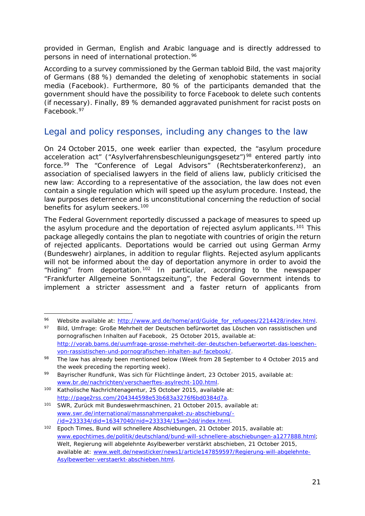<span id="page-20-3"></span>provided in German, English and Arabic language and is directly addressed to persons in need of international protection.<sup>[96](#page-20-0)</sup>

According to a survey commissioned by the German tabloid *Bild*, the vast majority of Germans (88 %) demanded the deleting of xenophobic statements in social media (Facebook). Furthermore, 80 % of the participants demanded that the government should have the possibility to force Facebook to delete such contents (if necessary). Finally, 89 % demanded aggravated punishment for racist posts on Facebook[.97](#page-20-1)

### Legal and policy responses, including any changes to the law

On 24 October 2015, one week earlier than expected, the "asylum procedure acceleration act" ("Asylverfahrensbeschleunigungsgesetz")<sup>[98](#page-20-2)</sup> entered partly into force.[99](#page-20-3) The "Conference of Legal Advisors" (*Rechtsberaterkonferenz*), an association of specialised lawyers in the field of aliens law, publicly criticised the new law: According to a representative of the association, the law does not even contain a single regulation which will speed up the asylum procedure. Instead, the law purposes deterrence and is unconstitutional concerning the reduction of social benefits for asylum seekers.<sup>[100](#page-20-3)</sup>

The Federal Government reportedly discussed a package of measures to speed up the asylum procedure and the deportation of rejected asylum applicants.<sup>[101](#page-20-4)</sup> This package allegedly contains the plan to negotiate with countries of origin the return of rejected applicants. Deportations would be carried out using German Army (Bundeswehr) airplanes, in addition to regular flights. Rejected asylum applicants will not be informed about the day of deportation anymore in order to avoid the "hiding" from deportation.<sup>[102](#page-20-3)</sup> In particular, according to the newspaper "Frankfurter Allgemeine Sonntagszeitung", the Federal Government intends to implement a stricter assessment and a faster return of applicants from

<span id="page-20-0"></span><sup>96</sup> Website available at: [http://www.ard.de/home/ard/Guide\\_for\\_refugees/2214428/index.html.](http://www.ard.de/home/ard/Guide_for_refugees/2214428/index.html)<br>97 Bild Unificate Craße Mehrheit der Deutschen befügungtet des Läseben von reseistischen und -

<span id="page-20-1"></span><sup>97</sup> Bild, Umfrage: Große Mehrheit der Deutschen befürwortet das Löschen von rassistischen und pornografischen Inhalten auf Facebook, 25 October 2015, available at: [http://vorab.bams.de/uumfrage-grosse-mehrheit-der-deutschen-befuerwortet-das-loeschen](http://vorab.bams.de/uumfrage-grosse-mehrheit-der-deutschen-befuerwortet-das-loeschen-von-rassistischen-und-pornografischen-inhalten-auf-facebook/)[von-rassistischen-und-pornografischen-inhalten-auf-facebook/.](http://vorab.bams.de/uumfrage-grosse-mehrheit-der-deutschen-befuerwortet-das-loeschen-von-rassistischen-und-pornografischen-inhalten-auf-facebook/)

<span id="page-20-2"></span><sup>98</sup> The law has already been mentioned below (Week from 28 September to 4 October 2015 and the week preceding the reporting week).

<sup>99</sup> Bayrischer Rundfunk, *Was sich für Flüchtlinge ändert,* 23 October 2015, available at: [www.br.de/nachrichten/verschaerftes-asylrecht-100.html.](http://www.br.de/nachrichten/verschaerftes-asylrecht-100.html)

<sup>100</sup> Katholische Nachrichtenagentur, 25 October 2015, available at: [http://page2rss.com/204344598e53b683a3276f6bd0384d7a.](http://page2rss.com/204344598e53b683a3276f6bd0384d7a)

<span id="page-20-4"></span><sup>101</sup> SWR, *Zurück mit Bundeswehrmaschinen,* 21 October 2015, available at: [www.swr.de/international/massnahmenpaket-zu-abschiebung/-](http://www.swr.de/international/massnahmenpaket-zu-abschiebung/-/id=233334/did=16347040/nid=233334/15wn2dd/index.html) [/id=233334/did=16347040/nid=233334/15wn2dd/index.html.](http://www.swr.de/international/massnahmenpaket-zu-abschiebung/-/id=233334/did=16347040/nid=233334/15wn2dd/index.html)

<sup>102</sup> Epoch Times, *Bund will schnellere Abschiebungen,* 21 October 2015, available at: [www.epochtimes.de/politik/deutschland/bund-will-schnellere-abschiebungen-a1277888.html;](http://www.epochtimes.de/politik/deutschland/bund-will-schnellere-abschiebungen-a1277888.html) Welt, *Regierung will abgelehnte Asylbewerber verstärkt abschieben,* 21 October 2015, available at: [www.welt.de/newsticker/news1/article147859597/Regierung-will-abgelehnte-](http://www.welt.de/newsticker/news1/article147859597/Regierung-will-abgelehnte-Asylbewerber-verstaerkt-abschieben.html)[Asylbewerber-verstaerkt-abschieben.html.](http://www.welt.de/newsticker/news1/article147859597/Regierung-will-abgelehnte-Asylbewerber-verstaerkt-abschieben.html)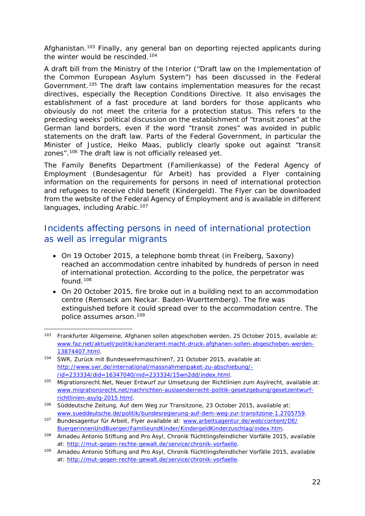<span id="page-21-3"></span>Afghanistan.<sup>[103](#page-21-0)</sup> Finally, any general ban on deporting rejected applicants during the winter would be rescinded.<sup>[104](#page-21-1)</sup>

A draft bill from the Ministry of the Interior ("Draft law on the Implementation of the Common European Asylum System") has been discussed in the Federal Government.[105](#page-21-2) The draft law contains implementation measures for the recast directives, especially the Reception Conditions Directive. It also envisages the establishment of a fast procedure at land borders for those applicants who obviously do not meet the criteria for a protection status. This refers to the preceding weeks' political discussion on the establishment of "transit zones" at the German land borders, even if the word "transit zones" was avoided in public statements on the draft law. Parts of the Federal Government, in particular the Minister of Justice, Heiko Maas, publicly clearly spoke out against "transit zones".[106](#page-21-3) The draft law is not officially released yet.

The Family Benefits Department (Familienkasse) of the Federal Agency of Employment (Bundesagentur für Arbeit) has provided a Flyer containing information on the requirements for persons in need of international protection and refugees to receive child benefit (Kindergeld). The Flyer can be downloaded from the website of the Federal Agency of Employment and is available in different languages, including Arabic.<sup>[107](#page-21-4)</sup>

### Incidents affecting persons in need of international protection as well as irregular migrants

- On 19 October 2015, a telephone bomb threat (in Freiberg, Saxony) reached an accommodation centre inhabited by hundreds of person in need of international protection. According to the police, the perpetrator was found.[108](#page-21-5)
- On 20 October 2015, fire broke out in a building next to an accommodation centre (Remseck am Neckar. Baden-Wuerttemberg). The fire was extinguished before it could spread over to the accommodation centre. The police assumes arson.<sup>[109](#page-21-6)</sup>

<span id="page-21-0"></span><sup>103</sup> Frankfurter Allgemeine, *Afghanen sollen abgeschoben werden,* 25 October 2015, available at: [www.faz.net/aktuell/politik/kanzleramt-macht-druck-afghanen-sollen-abgeschoben-werden-](http://www.faz.net/aktuell/politik/kanzleramt-macht-druck-afghanen-sollen-abgeschoben-werden-13874407.html)[13874407.html.](http://www.faz.net/aktuell/politik/kanzleramt-macht-druck-afghanen-sollen-abgeschoben-werden-13874407.html) -

<span id="page-21-1"></span><sup>104</sup> SWR, *Zurück mit Bundeswehrmaschinen?,* 21 October 2015, available at: [http://www.swr.de/international/massnahmenpaket-zu-abschiebung/-](http://www.swr.de/international/massnahmenpaket-zu-abschiebung/-/id=233334/did=16347040/nid=233334/15wn2dd/index.html) [/id=233334/did=16347040/nid=233334/15wn2dd/index.html.](http://www.swr.de/international/massnahmenpaket-zu-abschiebung/-/id=233334/did=16347040/nid=233334/15wn2dd/index.html)

<span id="page-21-2"></span><sup>105</sup> Migrationsrecht.Net, *Neuer Entwurf zur Umsetzung der Richtlinien zum Asylrecht,* available at: [www.migrationsrecht.net/nachrichten-auslaenderrecht-politik-gesetzgebung/gesetzentwurf](http://www.migrationsrecht.net/nachrichten-auslaenderrecht-politik-gesetzgebung/gesetzentwurf-richtlinien-asylg-2015.html)[richtlinien-asylg-2015.html.](http://www.migrationsrecht.net/nachrichten-auslaenderrecht-politik-gesetzgebung/gesetzentwurf-richtlinien-asylg-2015.html)

<sup>106</sup> Süddeutsche Zeitung, *Auf dem Weg zur Transitzone,* 23 October 2015, available at: [www.sueddeutsche.de/politik/bundesregierung-auf-dem-weg-zur-transitzone-1.2705759.](http://www.sueddeutsche.de/politik/bundesregierung-auf-dem-weg-zur-transitzone-1.2705759)

<span id="page-21-4"></span><sup>107</sup> Bundesagentur für Arbeit, Flyer available at: [www.arbeitsagentur.de/web/content/DE/](http://www.arbeitsagentur.de/web/content/DE/BuergerinnenUndBuerger/FamilieundKinder/KindergeldKinderzuschlag/index.htm) [BuergerinnenUndBuerger/FamilieundKinder/KindergeldKinderzuschlag/index.htm.](http://www.arbeitsagentur.de/web/content/DE/BuergerinnenUndBuerger/FamilieundKinder/KindergeldKinderzuschlag/index.htm)

<span id="page-21-5"></span><sup>108</sup> Amadeu Antonio Stiftung and Pro Asyl, *Chronik flüchtlingsfeindlicher Vorfälle 2015*, available at: [http://mut-gegen-rechte-gewalt.de/service/chronik-vorfaelle.](http://mut-gegen-rechte-gewalt.de/service/chronik-vorfaelle)

<span id="page-21-6"></span><sup>109</sup> Amadeu Antonio Stiftung and Pro Asyl, *Chronik flüchtlingsfeindlicher Vorfälle 2015*, available at: [http://mut-gegen-rechte-gewalt.de/service/chronik-vorfaelle.](http://mut-gegen-rechte-gewalt.de/service/chronik-vorfaelle)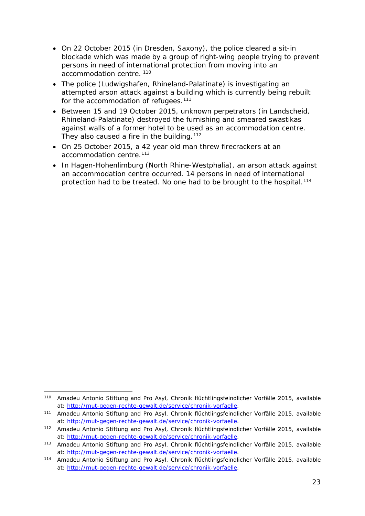- On 22 October 2015 (in Dresden, Saxony), the police cleared a sit-in blockade which was made by a group of right-wing people trying to prevent persons in need of international protection from moving into an accommodation centre.<sup>[110](#page-22-0)</sup>
- The police (Ludwigshafen, Rhineland-Palatinate) is investigating an attempted arson attack against a building which is currently being rebuilt for the accommodation of refugees.<sup>[111](#page-22-1)</sup>
- Between 15 and 19 October 2015, unknown perpetrators (in Landscheid, Rhineland-Palatinate) destroyed the furnishing and smeared swastikas against walls of a former hotel to be used as an accommodation centre. They also caused a fire in the building.  $112$
- On 25 October 2015, a 42 year old man threw firecrackers at an accommodation centre.<sup>[113](#page-22-3)</sup>
- In Hagen-Hohenlimburg (North Rhine-Westphalia), an arson attack against an accommodation centre occurred. 14 persons in need of international protection had to be treated. No one had to be brought to the hospital.<sup>[114](#page-22-4)</sup>

<span id="page-22-0"></span><sup>110</sup> Amadeu Antonio Stiftung and Pro Asyl, *Chronik flüchtlingsfeindlicher Vorfälle 2015*, available at: [http://mut-gegen-rechte-gewalt.de/service/chronik-vorfaelle.](http://mut-gegen-rechte-gewalt.de/service/chronik-vorfaelle) -

<span id="page-22-1"></span><sup>111</sup> Amadeu Antonio Stiftung and Pro Asyl, *Chronik flüchtlingsfeindlicher Vorfälle 2015*, available at: [http://mut-gegen-rechte-gewalt.de/service/chronik-vorfaelle.](http://mut-gegen-rechte-gewalt.de/service/chronik-vorfaelle)

<span id="page-22-2"></span><sup>112</sup> Amadeu Antonio Stiftung and Pro Asyl, *Chronik flüchtlingsfeindlicher Vorfälle 2015*, available at: [http://mut-gegen-rechte-gewalt.de/service/chronik-vorfaelle.](http://mut-gegen-rechte-gewalt.de/service/chronik-vorfaelle)

<span id="page-22-3"></span><sup>113</sup> Amadeu Antonio Stiftung and Pro Asyl, *Chronik flüchtlingsfeindlicher Vorfälle 2015*, available at: [http://mut-gegen-rechte-gewalt.de/service/chronik-vorfaelle.](http://mut-gegen-rechte-gewalt.de/service/chronik-vorfaelle)

<span id="page-22-4"></span><sup>114</sup> Amadeu Antonio Stiftung and Pro Asyl, *Chronik flüchtlingsfeindlicher Vorfälle 2015,* available at: [http://mut-gegen-rechte-gewalt.de/service/chronik-vorfaelle.](http://mut-gegen-rechte-gewalt.de/service/chronik-vorfaelle)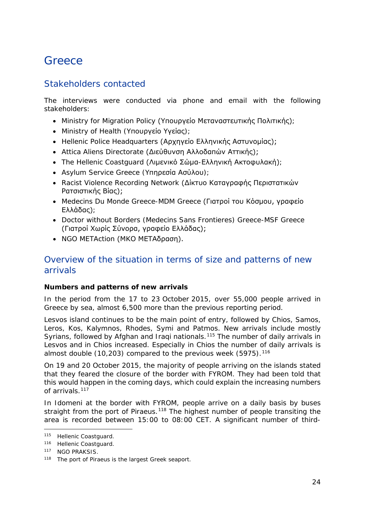## <span id="page-23-0"></span>**Greece**

### Stakeholders contacted

The interviews were conducted via phone and email with the following stakeholders:

- Ministry for Migration Policy (Υπουργείο Μεταναστευτικής Πολιτικής);
- Ministry of Health (Υπουργείο Υγείας);
- Hellenic Police Headquarters (Αρχηγείο Ελληνικής Αστυνομίας);
- Attica Aliens Directorate (Διεύθυνση Αλλοδαπών Αττικής);
- The Hellenic Coastguard (Λιμενικό Σώμα-Ελληνική Ακτοφυλακή);
- Asylum Service Greece (Υπηρεσία Ασύλου);
- Racist Violence Recording Network (Δίκτυο Καταγραφής Περιστατικών Ρατσιστικής Βίας);
- Medecins Du Monde Greece-MDM Greece (Γιατροί του Κόσμου, γραφείο Ελλάδας);
- Doctor without Borders (Medecins Sans Frontieres) Greece-MSF Greece (Γιατροί Χωρίς Σύνορα, γραφείο Ελλάδας);
- NGO METAction (ΜΚΟ ΜΕΤΑδραση).

### Overview of the situation in terms of size and patterns of new arrivals

#### **Numbers and patterns of new arrivals**

In the period from the 17 to 23 October 2015, over 55,000 people arrived in Greece by sea, almost 6,500 more than the previous reporting period.

Lesvos island continues to be the main point of entry, followed by Chios, Samos, Leros, Kos, Kalymnos, Rhodes, Symi and Patmos. New arrivals include mostly Syrians, followed by Afghan and Iraqi nationals.<sup>[115](#page-23-1)</sup> The number of daily arrivals in Lesvos and in Chios increased. Especially in Chios the number of daily arrivals is almost double  $(10,203)$  compared to the previous week  $(5975)$ .<sup>[116](#page-23-2)</sup>

On 19 and 20 October 2015, the majority of people arriving on the islands stated that they feared the closure of the border with FYROM. They had been told that this would happen in the coming days, which could explain the increasing numbers of arrivals.<sup>[117](#page-23-3)</sup>

In Idomeni at the border with FYROM, people arrive on a daily basis by buses straight from the port of Piraeus.<sup>[118](#page-23-4)</sup> The highest number of people transiting the area is recorded between 15:00 to 08:00 CET. A significant number of third-

<sup>115</sup> Hellenic Coastguard. j.

<span id="page-23-2"></span><span id="page-23-1"></span><sup>116</sup> Hellenic Coastguard.

<span id="page-23-3"></span><sup>117</sup> NGO PRAKSIS.

<span id="page-23-4"></span><sup>118</sup> The port of Piraeus is the largest Greek seaport.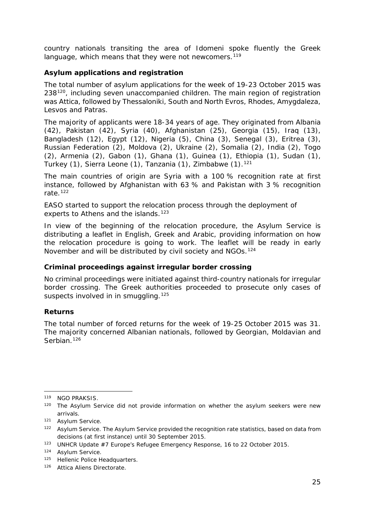country nationals transiting the area of Idomeni spoke fluently the Greek language, which means that they were not newcomers.<sup>[119](#page-24-0)</sup>

#### **Asylum applications and registration**

The total number of asylum applications for the week of 19-23 October 2015 was 238<sup>120</sup>, including seven unaccompanied children. The main region of registration was Attica, followed by Thessaloniki, South and North Evros, Rhodes, Amygdaleza, Lesvos and Patras.

The majority of applicants were 18-34 years of age. They originated from Albania (42), Pakistan (42), Syria (40), Afghanistan (25), Georgia (15), Iraq (13), Bangladesh (12), Egypt (12), Nigeria (5), China (3), Senegal (3), Eritrea (3), Russian Federation (2), Moldova (2), Ukraine (2), Somalia (2), India (2), Togo (2), Armenia (2), Gabon (1), Ghana (1), Guinea (1), Ethiopia (1), Sudan (1), Turkey (1), Sierra Leone (1), Tanzania (1), Zimbabwe (1).<sup>[121](#page-24-2)</sup>

The main countries of origin are Syria with a 100 % recognition rate at first instance, followed by Afghanistan with 63 % and Pakistan with 3 % recognition rate.[122](#page-24-3)

EASO started to support the relocation process through the deployment of experts to Athens and the islands.<sup>[123](#page-24-4)</sup>

In view of the beginning of the relocation procedure, the Asylum Service is distributing a leaflet in English, Greek and Arabic, providing information on how the relocation procedure is going to work. The leaflet will be ready in early November and will be distributed by civil society and NGOs.<sup>[124](#page-24-5)</sup>

#### **Criminal proceedings against irregular border crossing**

No criminal proceedings were initiated against third-country nationals for irregular border crossing. The Greek authorities proceeded to prosecute only cases of suspects involved in in smuggling.<sup>[125](#page-24-6)</sup>

#### **Returns**

The total number of forced returns for the week of 19-25 October 2015 was 31. The majority concerned Albanian nationals, followed by Georgian, Moldavian and Serbian.<sup>[126](#page-24-7)</sup>

<sup>119</sup> NGO PRAKSIS. -

<span id="page-24-1"></span><span id="page-24-0"></span><sup>&</sup>lt;sup>120</sup> The Asylum Service did not provide information on whether the asylum seekers were new arrivals.

<span id="page-24-2"></span><sup>121</sup> Asylum Service.

<span id="page-24-3"></span><sup>&</sup>lt;sup>122</sup> Asylum Service. The Asylum Service provided the recognition rate statistics, based on data from decisions (at first instance) until 30 September 2015.

<span id="page-24-4"></span><sup>123</sup> UNHCR Update #7 Europe's Refugee Emergency Response, 16 to 22 October 2015.

<span id="page-24-5"></span><sup>124</sup> Asylum Service.

<span id="page-24-6"></span><sup>125</sup> Hellenic Police Headquarters.

<span id="page-24-7"></span><sup>126</sup> Attica Aliens Directorate.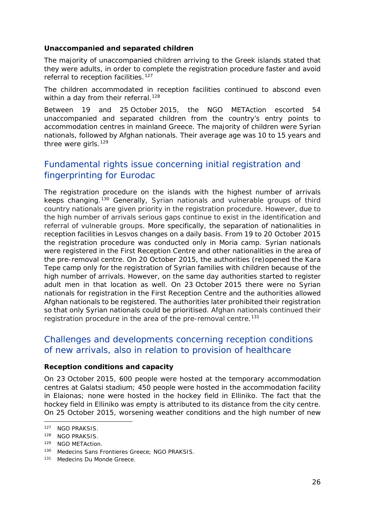#### <span id="page-25-4"></span>**Unaccompanied and separated children**

The majority of unaccompanied children arriving to the Greek islands stated that they were adults, in order to complete the registration procedure faster and avoid referral to reception facilities.<sup>[127](#page-25-0)</sup>

The children accommodated in reception facilities continued to abscond even within a day from their referral.<sup>[128](#page-25-1)</sup>

Between 19 and 25 October 2015, the NGO METAction escorted 54 unaccompanied and separated children from the country's entry points to accommodation centres in mainland Greece. The majority of children were Syrian nationals, followed by Afghan nationals. Their average age was 10 to 15 years and three were girls.<sup>[129](#page-25-2)</sup>

### Fundamental rights issue concerning initial registration and fingerprinting for Eurodac

The registration procedure on the islands with the highest number of arrivals keeps changing.[130](#page-25-3) Generally, Syrian nationals and vulnerable groups of third country nationals are given priority in the registration procedure. However, due to the high number of arrivals serious gaps continue to exist in the identification and referral of vulnerable groups. More specifically, the separation of nationalities in reception facilities in Lesvos changes on a daily basis. From 19 to 20 October 2015 the registration procedure was conducted only in Moria camp. Syrian nationals were registered in the First Reception Centre and other nationalities in the area of the pre-removal centre. On 20 October 2015, the authorities (re)opened the Kara Tepe camp only for the registration of Syrian families with children because of the high number of arrivals. However, on the same day authorities started to register adult men in that location as well. On 23 October 2015 there were no Syrian nationals for registration in the First Reception Centre and the authorities allowed Afghan nationals to be registered. The authorities later prohibited their registration so that only Syrian nationals could be prioritised. Afghan nationals continued their registration procedure in the area of the pre-removal centre.<sup>[131](#page-25-4)</sup>

### Challenges and developments concerning reception conditions of new arrivals, also in relation to provision of healthcare

#### **Reception conditions and capacity**

On 23 October 2015, 600 people were hosted at the temporary accommodation centres at Galatsi stadium; 450 people were hosted in the accommodation facility in Elaionas; none were hosted in the hockey field in Elliniko. The fact that the hockey field in Elliniko was empty is attributed to its distance from the city centre. On 25 October 2015, worsening weather conditions and the high number of new

-

<span id="page-25-0"></span><sup>127</sup> NGO PRAKSIS.

<span id="page-25-1"></span><sup>128</sup> NGO PRAKSIS.

<span id="page-25-2"></span><sup>129</sup> NGO METAction.

<span id="page-25-3"></span><sup>130</sup> Medecins Sans Frontieres Greece; NGO PRAKSIS.

<sup>131</sup> Medecins Du Monde Greece.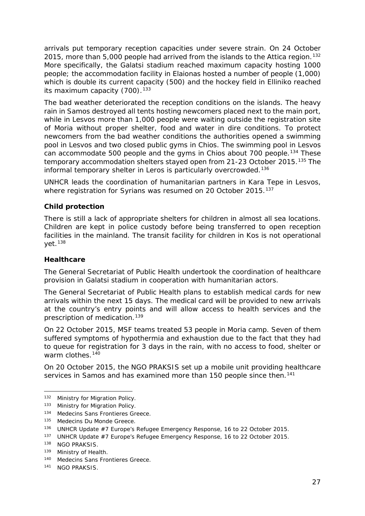<span id="page-26-3"></span>arrivals put temporary reception capacities under severe strain. On 24 October 2015, more than 5,000 people had arrived from the islands to the Attica region.<sup>[132](#page-26-0)</sup> More specifically, the Galatsi stadium reached maximum capacity hosting 1000 people; the accommodation facility in Elaionas hosted a number of people (1,000) which is double its current capacity (500) and the hockey field in Elliniko reached its maximum capacity  $(700)$ .<sup>[133](#page-26-1)</sup>

The bad weather deteriorated the reception conditions on the islands. The heavy rain in Samos destroyed all tents hosting newcomers placed next to the main port, while in Lesvos more than 1,000 people were waiting outside the registration site of Moria without proper shelter, food and water in dire conditions. To protect newcomers from the bad weather conditions the authorities opened a swimming pool in Lesvos and two closed public gyms in Chios. The swimming pool in Lesvos can accommodate 500 people and the gyms in Chios about 700 people.<sup>[134](#page-26-2)</sup> These temporary accommodation shelters stayed open from 21-23 October 2015.<sup>[135](#page-26-3)</sup> The informal temporary shelter in Leros is particularly overcrowded.<sup>[136](#page-26-3)</sup>

UNHCR leads the coordination of humanitarian partners in Kara Tepe in Lesvos, where registration for Syrians was resumed on 20 October 2015.<sup>[137](#page-26-4)</sup>

#### **Child protection**

There is still a lack of appropriate shelters for children in almost all sea locations. Children are kept in police custody before being transferred to open reception facilities in the mainland. The transit facility for children in Kos is not operational  $yet.<sup>138</sup>$  $yet.<sup>138</sup>$  $yet.<sup>138</sup>$ 

#### **Healthcare**

The General Secretariat of Public Health undertook the coordination of healthcare provision in Galatsi stadium in cooperation with humanitarian actors.

The General Secretariat of Public Health plans to establish medical cards for new arrivals within the next 15 days. The medical card will be provided to new arrivals at the country's entry points and will allow access to health services and the prescription of medication.<sup>[139](#page-26-6)</sup>

On 22 October 2015, MSF teams treated 53 people in Moria camp. Seven of them suffered symptoms of hypothermia and exhaustion due to the fact that they had to queue for registration for 3 days in the rain, with no access to food, shelter or warm clothes.<sup>[140](#page-26-7)</sup>

On 20 October 2015, the NGO PRAKSIS set up a mobile unit providing healthcare services in Samos and has examined more than 150 people since then.<sup>[141](#page-26-8)</sup>

-

<span id="page-26-0"></span><sup>132</sup> Ministry for Migration Policy.

<span id="page-26-1"></span><sup>133</sup> Ministry for Migration Policy.

<span id="page-26-2"></span><sup>134</sup> Medecins Sans Frontieres Greece.

<sup>135</sup> Medecins Du Monde Greece.

<sup>136</sup> UNHCR Update #7 Europe's Refugee Emergency Response, 16 to 22 October 2015.

<span id="page-26-4"></span><sup>137</sup> UNHCR Update #7 Europe's Refugee Emergency Response, 16 to 22 October 2015.

<span id="page-26-5"></span><sup>138</sup> NGO PRAKSIS.

<span id="page-26-6"></span><sup>139</sup> Ministry of Health.

<span id="page-26-7"></span><sup>140</sup> Medecins Sans Frontieres Greece.

<span id="page-26-8"></span><sup>141</sup> NGO PRAKSIS.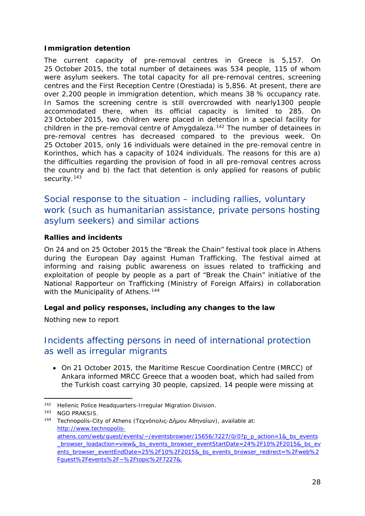#### <span id="page-27-1"></span>**Immigration detention**

The current capacity of pre-removal centres in Greece is 5,157. On 25 October 2015, the total number of detainees was 534 people, 115 of whom were asylum seekers. The total capacity for all pre-removal centres, screening centres and the First Reception Centre (Orestiada) is 5,856. At present, there are over 2,200 people in immigration detention, which means 38 % occupancy rate. In Samos the screening centre is still overcrowded with nearly1300 people accommodated there, when its official capacity is limited to 285. On 23 October 2015, two children were placed in detention in a special facility for children in the pre-removal centre of Amygdaleza.<sup>[142](#page-27-0)</sup> The number of detainees in pre-removal centres has decreased compared to the previous week. On 25 October 2015, only 16 individuals were detained in the pre-removal centre in Korinthos, which has a capacity of 1024 individuals. The reasons for this are a) the difficulties regarding the provision of food in all pre-removal centres across the country and b) the fact that detention is only applied for reasons of public security.<sup>[143](#page-27-1)</sup>

Social response to the situation – including rallies, voluntary work (such as humanitarian assistance, private persons hosting asylum seekers) and similar actions

#### **Rallies and incidents**

On 24 and on 25 October 2015 the "Break the Chain" festival took place in Athens during the European Day against Human Trafficking. The festival aimed at informing and raising public awareness on issues related to trafficking and exploitation of people by people as a part of "Break the Chain" initiative of the National Rapporteur on Trafficking (Ministry of Foreign Affairs) in collaboration with the Municipality of Athens.<sup>[144](#page-27-2)</sup>

#### **Legal and policy responses, including any changes to the law**

Nothing new to report

### Incidents affecting persons in need of international protection as well as irregular migrants

• On 21 October 2015, the Maritime Rescue Coordination Centre (MRCC) of Ankara informed MRCC Greece that a wooden boat, which had sailed from the Turkish coast carrying 30 people, capsized. 14 people were missing at

<sup>&</sup>lt;sup>142</sup> Hellenic Police Headquarters-Irregular Migration Division. -

<span id="page-27-0"></span><sup>143</sup> NGO PRAKSIS.

<span id="page-27-2"></span><sup>144</sup> Technopolis-City of Athens (Τεχνόπολις-Δήμου Αθηναίων), available at: [http://www.technopolis](http://www.technopolis-athens.com/web/guest/events/%7E/eventsbrowser/15656/7227/0/0?p_p_action=1&_bs_events_browser_loadaction=view&_bs_events_browser_eventStartDate=24%2F10%2F2015&_bs_events_browser_eventEndDate=25%2F10%2F2015&_bs_events_browser_redirect=%2Fweb%2Fguest%2Fevents%2F%7E%2Ftopic%2F7227&)[athens.com/web/guest/events/~/eventsbrowser/15656/7227/0/0?p\\_p\\_action=1&\\_bs\\_events](http://www.technopolis-athens.com/web/guest/events/%7E/eventsbrowser/15656/7227/0/0?p_p_action=1&_bs_events_browser_loadaction=view&_bs_events_browser_eventStartDate=24%2F10%2F2015&_bs_events_browser_eventEndDate=25%2F10%2F2015&_bs_events_browser_redirect=%2Fweb%2Fguest%2Fevents%2F%7E%2Ftopic%2F7227&) [\\_browser\\_loadaction=view&\\_bs\\_events\\_browser\\_eventStartDate=24%2F10%2F2015&\\_bs\\_ev](http://www.technopolis-athens.com/web/guest/events/%7E/eventsbrowser/15656/7227/0/0?p_p_action=1&_bs_events_browser_loadaction=view&_bs_events_browser_eventStartDate=24%2F10%2F2015&_bs_events_browser_eventEndDate=25%2F10%2F2015&_bs_events_browser_redirect=%2Fweb%2Fguest%2Fevents%2F%7E%2Ftopic%2F7227&) [ents\\_browser\\_eventEndDate=25%2F10%2F2015&\\_bs\\_events\\_browser\\_redirect=%2Fweb%2](http://www.technopolis-athens.com/web/guest/events/%7E/eventsbrowser/15656/7227/0/0?p_p_action=1&_bs_events_browser_loadaction=view&_bs_events_browser_eventStartDate=24%2F10%2F2015&_bs_events_browser_eventEndDate=25%2F10%2F2015&_bs_events_browser_redirect=%2Fweb%2Fguest%2Fevents%2F%7E%2Ftopic%2F7227&) [Fguest%2Fevents%2F~%2Ftopic%2F7227&.](http://www.technopolis-athens.com/web/guest/events/%7E/eventsbrowser/15656/7227/0/0?p_p_action=1&_bs_events_browser_loadaction=view&_bs_events_browser_eventStartDate=24%2F10%2F2015&_bs_events_browser_eventEndDate=25%2F10%2F2015&_bs_events_browser_redirect=%2Fweb%2Fguest%2Fevents%2F%7E%2Ftopic%2F7227&)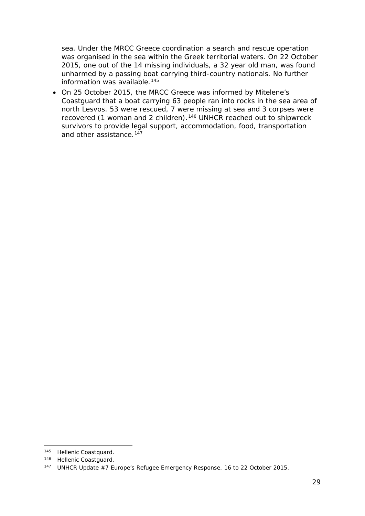sea. Under the MRCC Greece coordination a search and rescue operation was organised in the sea within the Greek territorial waters. On 22 October 2015, one out of the 14 missing individuals, a 32 year old man, was found unharmed by a passing boat carrying third-country nationals. No further information was available.<sup>[145](#page-28-0)</sup>

• On 25 October 2015, the MRCC Greece was informed by Mitelene's Coastguard that a boat carrying 63 people ran into rocks in the sea area of north Lesvos. 53 were rescued, 7 were missing at sea and 3 corpses were recovered (1 woman and 2 children).<sup>[146](#page-28-1)</sup> UNHCR reached out to shipwreck survivors to provide legal support, accommodation, food, transportation and other assistance.<sup>[147](#page-28-2)</sup>

<sup>145</sup> Hellenic Coastquard. -

<span id="page-28-1"></span><span id="page-28-0"></span><sup>146</sup> Hellenic Coastguard.

<span id="page-28-2"></span><sup>147</sup> UNHCR Update #7 Europe's Refugee Emergency Response, 16 to 22 October 2015.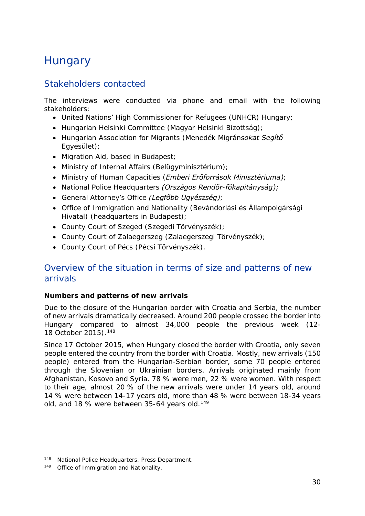# <span id="page-29-0"></span>**Hungary**

### Stakeholders contacted

The interviews were conducted via phone and email with the following stakeholders:

- United Nations' High Commissioner for Refugees (UNHCR) Hungary;
- Hungarian Helsinki Committee (*Magyar Helsinki Bizottság)*;
- Hungarian Association for Migrants (*Menedék Migránsokat Segítő Egyesület)*;
- Migration Aid, based in Budapest;
- Ministry of Internal Affairs (*Belügyminisztérium)*;
- Ministry of Human Capacities (*Emberi Erőforrások Minisztériuma)*;
- National Police Headquarters *(Országos Rendőr-főkapitányság);*
- General Attorney's Office *(Legfőbb Ügyészség)*;
- Office of Immigration and Nationality (*Bevándorlási és Állampolgársági Hivatal)* (headquarters in Budapest);
- County Court of Szeged (*Szegedi Törvényszék);*
- County Court of Zalaegerszeg (*Zalaegerszegi Törvényszék*);
- County Court of Pécs (*Pécsi Törvényszék)*.

### Overview of the situation in terms of size and patterns of new arrivals

#### **Numbers and patterns of new arrivals**

Due to the closure of the Hungarian border with Croatia and Serbia, the number of new arrivals dramatically decreased. Around 200 people crossed the border into Hungary compared to almost 34,000 people the previous week (12- 18 October 2015).[148](#page-29-1)

Since 17 October 2015, when Hungary closed the border with Croatia, only seven people entered the country from the border with Croatia. Mostly, new arrivals (150 people) entered from the Hungarian-Serbian border, some 70 people entered through the Slovenian or Ukrainian borders. Arrivals originated mainly from Afghanistan, Kosovo and Syria. 78 % were men, 22 % were women. With respect to their age, almost 20 % of the new arrivals were under 14 years old, around 14 % were between 14-17 years old, more than 48 % were between 18-34 years old, and 18 % were between 35-64 years old.<sup>[149](#page-29-2)</sup>

<span id="page-29-1"></span><sup>148</sup> National Police Headquarters, Press Department. -

<span id="page-29-2"></span><sup>149</sup> Office of Immigration and Nationality.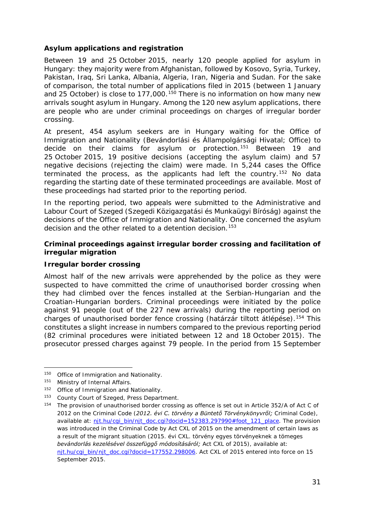#### <span id="page-30-2"></span>**Asylum applications and registration**

Between 19 and 25 October 2015, nearly 120 people applied for asylum in Hungary: they majority were from Afghanistan, followed by Kosovo, Syria, Turkey, Pakistan, Iraq, Sri Lanka, Albania, Algeria, Iran, Nigeria and Sudan. For the sake of comparison, the total number of applications filed in 2015 (between 1 January and 25 October) is close to 177,000.<sup>[150](#page-30-0)</sup> There is no information on how many new arrivals sought asylum in Hungary. Among the 120 new asylum applications, there are people who are under criminal proceedings on charges of irregular border crossing.

At present, 454 asylum seekers are in Hungary waiting for the Office of Immigration and Nationality (*Bevándorlási és Állampolgársági Hivatal;* Office) to decide on their claims for asylum or protection.<sup>[151](#page-30-1)</sup> Between 19 and 25 October 2015, 19 positive decisions (accepting the asylum claim) and 57 negative decisions (rejecting the claim) were made. In 5,244 cases the Office terminated the process, as the applicants had left the country.<sup>[152](#page-30-2)</sup> No data regarding the starting date of these terminated proceedings are available. Most of these proceedings had started prior to the reporting period.

In the reporting period, two appeals were submitted to the Administrative and Labour Court of Szeged (*Szegedi Közigazgatási és Munkaügyi Bíróság)* against the decisions of the Office of Immigration and Nationality. One concerned the asylum decision and the other related to a detention decision.<sup>[153](#page-30-3)</sup>

#### **Criminal proceedings against irregular border crossing and facilitation of irregular migration**

#### **Irregular border crossing**

Almost half of the new arrivals were apprehended by the police as they were suspected to have committed the crime of unauthorised border crossing when they had climbed over the fences installed at the Serbian-Hungarian and the Croatian-Hungarian borders. Criminal proceedings were initiated by the police against 91 people (out of the 227 new arrivals) during the reporting period on charges of unauthorised border fence crossing (*határzár tiltott átlépése*).[154](#page-30-4) This constitutes a slight increase in numbers compared to the previous reporting period (82 criminal procedures were initiated between 12 and 18 October 2015). The prosecutor pressed charges against 79 people. In the period from 15 September

<span id="page-30-0"></span>Office of Immigration and Nationality. 150

<span id="page-30-1"></span><sup>&</sup>lt;sup>151</sup> Ministry of Internal Affairs.<br><sup>152</sup> Office of Immigration and I

Office of Immigration and Nationality.

<span id="page-30-3"></span><sup>153</sup> County Court of Szeged, Press Department.

<span id="page-30-4"></span><sup>&</sup>lt;sup>154</sup> The provision of unauthorised border crossing as offence is set out in Article 352/A of Act C of 2012 on the Criminal Code (*2012. évi C. törvény a Büntető Törvénykönyvről;* Criminal Code), available at: nit.hu/cgi\_bin/njt\_doc.cgi?docid=152383.297990#foot\_121\_place. The provision was introduced in the Criminal Code by Act CXL of 2015 on the amendment of certain laws as a result of the migrant situation (*2015. évi CXL. törvény egyes törvényeknek a tömeges bevándorlás kezelésével összefüggő módosításáról;* Act CXL of 2015), available at: njt.hu/cgi\_bin/njt\_doc.cgi?docid=177552.298006</u>. Act CXL of 2015 entered into force on 15 September 2015.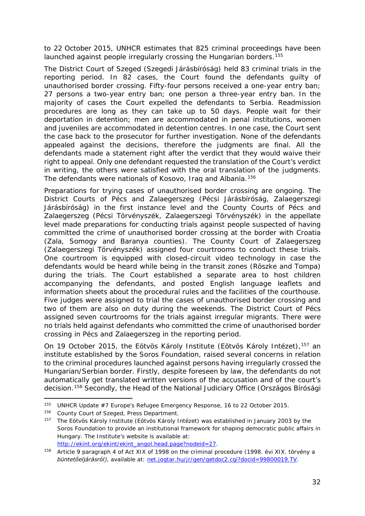<span id="page-31-3"></span>to 22 October 2015, UNHCR estimates that 825 criminal proceedings have been launched against people irregularly crossing the Hungarian borders.<sup>[155](#page-31-0)</sup>

The District Court of Szeged (*Szegedi Járásbíróság*) held 83 criminal trials in the reporting period. In 82 cases, the Court found the defendants guilty of unauthorised border crossing. Fifty-four persons received a one-year entry ban; 27 persons a two-year entry ban; one person a three-year entry ban. In the majority of cases the Court expelled the defendants to Serbia. Readmission procedures are long as they can take up to 50 days. People wait for their deportation in detention; men are accommodated in penal institutions, women and juveniles are accommodated in detention centres. In one case, the Court sent the case back to the prosecutor for further investigation. None of the defendants appealed against the decisions, therefore the judgments are final. All the defendants made a statement right after the verdict that they would waive their right to appeal. Only one defendant requested the translation of the Court's verdict in writing, the others were satisfied with the oral translation of the judgments. The defendants were nationals of Kosovo, Iraq and Albania.<sup>[156](#page-31-1)</sup>

Preparations for trying cases of unauthorised border crossing are ongoing. The District Courts of Pécs and Zalaegerszeg (*Pécsi Járásbíróság, Zalaegerszegi Járásbíróság*) in the first instance level and the County Courts of Pécs and Zalaegerszeg (*Pécsi Törvényszék, Zalaegerszegi Törvényszék*) in the appellate level made preparations for conducting trials against people suspected of having committed the crime of unauthorised border crossing at the border with Croatia (Zala, Somogy and Baranya counties). The County Court of Zalaegerszeg (*Zalaegerszegi Törvényszék*) assigned four courtrooms to conduct these trials. One courtroom is equipped with closed-circuit video technology in case the defendants would be heard while being in the transit zones (Röszke and Tompa) during the trials. The Court established a separate area to host children accompanying the defendants, and posted English language leaflets and information sheets about the procedural rules and the facilities of the courthouse. Five judges were assigned to trial the cases of unauthorised border crossing and two of them are also on duty during the weekends. The District Court of Pécs assigned seven courtrooms for the trials against irregular migrants. There were no trials held against defendants who committed the crime of unauthorised border crossing in Pécs and Zalaegerszeg in the reporting period.

On 19 October 2015, the Eötvös Károly Institute (*Eötvös Károly Intézet),*[157](#page-31-2) an institute established by the Soros Foundation, raised several concerns in relation to the criminal procedures launched against persons having irregularly crossed the Hungarian/Serbian border. Firstly, despite foreseen by law, the defendants do not automatically get translated written versions of the accusation and of the court's decision.[158](#page-31-3) Secondly, the Head of the National Judiciary Office (*Országos Bírósági* 

-

<sup>155</sup> UNHCR Update #7 Europe's Refugee Emergency Response, 16 to 22 October 2015.

<span id="page-31-1"></span><span id="page-31-0"></span><sup>156</sup> County Court of Szeged, Press Department.

<span id="page-31-2"></span><sup>157</sup> The Eötvös Károly Institute (*Eötvös Károly Intézet*) was established in January 2003 by the Soros Foundation to provide an institutional framework for shaping democratic public affairs in Hungary. The Institute's website is available at: [http://ekint.org/ekint/ekint\\_angol.head.page?nodeid=27.](http://ekint.org/ekint/ekint_angol.head.page?nodeid=27)

<sup>158</sup> Article 9 paragraph 4 of Act XIX of 1998 on the criminal procedure (*1998. évi XIX. törvény a büntetőeljárásról)*, available at: net.jogtar.hu/jr/gen/getdoc2.cgi?docid=99800019.TV.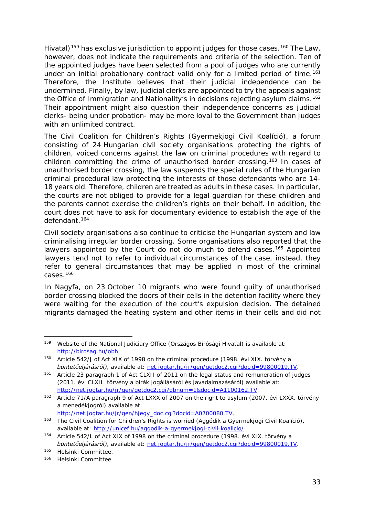<span id="page-32-5"></span>*Hivatal*)<sup>[159](#page-32-0)</sup> has exclusive jurisdiction to appoint judges for those cases.<sup>160</sup> The Law, however, does not indicate the requirements and criteria of the selection. Ten of the appointed judges have been selected from a pool of judges who are currently under an initial probationary contract valid only for a limited period of time.<sup>[161](#page-32-2)</sup> Therefore, the Institute believes that their judicial independence can be undermined. Finally, by law, judicial clerks are appointed to try the appeals against the Office of Immigration and Nationality's in decisions rejecting asylum claims.<sup>[162](#page-32-3)</sup> Their appointment might also question their independence concerns as judicial clerks- being under probation- may be more loyal to the Government than judges with an unlimited contract.

The Civil Coalition for Children's Rights (*Gyermekjogi Civil Koalíció)*, a forum consisting of 24 Hungarian civil society organisations protecting the rights of children, voiced concerns against the law on criminal procedures with regard to children committing the crime of unauthorised border crossing.<sup>[163](#page-32-4)</sup> In cases of unauthorised border crossing, the law suspends the special rules of the Hungarian criminal procedural law protecting the interests of those defendants who are 14- 18 years old. Therefore, children are treated as adults in these cases. In particular, the courts are not obliged to provide for a legal guardian for these children and the parents cannot exercise the children's rights on their behalf. In addition, the court does not have to ask for documentary evidence to establish the age of the defendant.[164](#page-32-5)

Civil society organisations also continue to criticise the Hungarian system and law criminalising irregular border crossing. Some organisations also reported that the lawyers appointed by the Court do not do much to defend cases.<sup>[165](#page-32-6)</sup> Appointed lawyers tend not to refer to individual circumstances of the case, instead, they refer to general circumstances that may be applied in most of the criminal cases.[166](#page-32-5)

In Nagyfa, on 23 October 10 migrants who were found guilty of unauthorised border crossing blocked the doors of their cells in the detention facility where they were waiting for the execution of the court's expulsion decision. The detained migrants damaged the heating system and other items in their cells and did not

[http://net.jogtar.hu/jr/gen/hjegy\\_doc.cgi?docid=A0700080.TV.](http://net.jogtar.hu/jr/gen/hjegy_doc.cgi?docid=A0700080.TV)

<span id="page-32-0"></span><sup>159</sup> Website of the National Judiciary Office (*Országos Bírósági Hivatal)* is available at: [http://birosag.hu/obh.](http://birosag.hu/obh) -

<span id="page-32-1"></span><sup>160</sup> Article 542/J of Act XIX of 1998 on the criminal procedure (*1998. évi XIX. törvény a büntetőeljárásról)*, available at: net.jogtar.hu/jr/gen/getdoc2.cgi?docid=99800019.TV.

<span id="page-32-2"></span><sup>161</sup> Article 23 paragraph 1 of Act CLXII of 2011 on the legal status and remuneration of judges (*2011. évi CLXII. törvény a bírák jogállásáról és javadalmazásáról)* available at: [http://net.jogtar.hu/jr/gen/getdoc2.cgi?dbnum=1&docid=A1100162.TV.](http://net.jogtar.hu/jr/gen/getdoc2.cgi?dbnum=1&docid=A1100162.TV)

<span id="page-32-3"></span><sup>162</sup> Article 71/A paragraph 9 of Act LXXX of 2007 on the right to asylum (*2007. évi LXXX. törvény a menedékjogról)* available at:

<span id="page-32-4"></span><sup>163</sup> The Civil Coalition for Children's Rights is worried (*Aggódik a Gyermekjogi Civil Koalíció)*, available at: [http://unicef.hu/aggodik-a-gyermekjogi-civil-koalicio/.](http://unicef.hu/aggodik-a-gyermekjogi-civil-koalicio/)

<sup>164</sup> Article 542/L of Act XIX of 1998 on the criminal procedure (*1998. évi XIX. törvény a büntetőeljárásról)*, available at: net.jogtar.hu/jr/gen/getdoc2.cgi?docid=99800019.TV.

<span id="page-32-6"></span><sup>165</sup> Helsinki Committee.

<sup>166</sup> Helsinki Committee.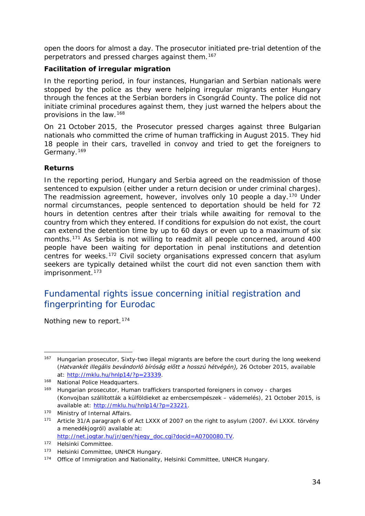<span id="page-33-4"></span>open the doors for almost a day. The prosecutor initiated pre-trial detention of the perpetrators and pressed charges against them.<sup>[167](#page-33-0)</sup>

#### **Facilitation of irregular migration**

In the reporting period, in four instances, Hungarian and Serbian nationals were stopped by the police as they were helping irregular migrants enter Hungary through the fences at the Serbian borders in Csongrád County. The police did not initiate criminal procedures against them, they just warned the helpers about the provisions in the law.[168](#page-33-1)

On 21 October 2015, the Prosecutor pressed charges against three Bulgarian nationals who committed the crime of human trafficking in August 2015. They hid 18 people in their cars, travelled in convoy and tried to get the foreigners to Germany.[169](#page-33-2)

#### **Returns**

In the reporting period, Hungary and Serbia agreed on the readmission of those sentenced to expulsion (either under a return decision or under criminal charges). The readmission agreement, however, involves only 10 people a day.<sup>[170](#page-33-3)</sup> Under normal circumstances, people sentenced to deportation should be held for 72 hours in detention centres after their trials while awaiting for removal to the country from which they entered. If conditions for expulsion do not exist, the court can extend the detention time by up to 60 days or even up to a maximum of six months.[171](#page-33-4) As Serbia is not willing to readmit all people concerned, around 400 people have been waiting for deportation in penal institutions and detention centres for weeks.<sup>[172](#page-33-4)</sup> Civil society organisations expressed concern that asylum seekers are typically detained whilst the court did not even sanction them with imprisonment.<sup>[173](#page-33-4)</sup>

### Fundamental rights issue concerning initial registration and fingerprinting for Eurodac

Nothing new to report.<sup>[174](#page-33-5)</sup>

<span id="page-33-0"></span><sup>167</sup> Hungarian prosecutor, Sixty-two illegal migrants are before the court during the long weekend (*Hatvankét illegális bevándorló bíróság előtt a hosszú hétvégén),* 26 October 2015, available at: [http://mklu.hu/hnlp14/?p=23339.](http://mklu.hu/hnlp14/?p=23339) 167

<span id="page-33-1"></span><sup>168</sup> National Police Headquarters.

<span id="page-33-2"></span><sup>169</sup> Hungarian prosecutor, Human traffickers transported foreigners in convoy - charges (*Konvojban szállították a külföldieket az embercsempészek – vádemelés),* 21 October 2015, is available at: [http://mklu.hu/hnlp14/?p=23221.](http://mklu.hu/hnlp14/?p=23221)

<span id="page-33-3"></span><sup>170</sup> Ministry of Internal Affairs.

<sup>171</sup> Article 31/A paragraph 6 of Act LXXX of 2007 on the right to asylum (*2007. évi LXXX. törvény a menedékjogról)* available at: [http://net.jogtar.hu/jr/gen/hjegy\\_doc.cgi?docid=A0700080.TV.](http://net.jogtar.hu/jr/gen/hjegy_doc.cgi?docid=A0700080.TV)

<sup>172</sup> Helsinki Committee.

<sup>173</sup> Helsinki Committee, UNHCR Hungary.

<span id="page-33-5"></span><sup>174</sup> Office of Immigration and Nationality, Helsinki Committee, UNHCR Hungary.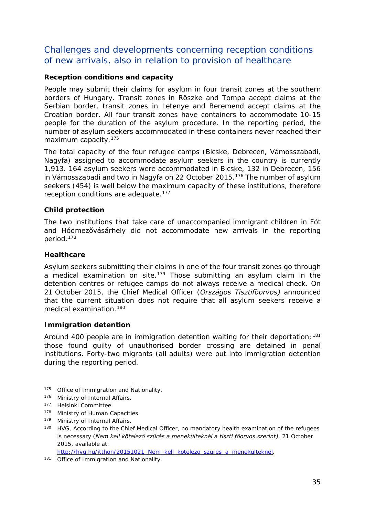### <span id="page-34-2"></span>Challenges and developments concerning reception conditions of new arrivals, also in relation to provision of healthcare

#### **Reception conditions and capacity**

People may submit their claims for asylum in four transit zones at the southern borders of Hungary. Transit zones in Röszke and Tompa accept claims at the Serbian border, transit zones in Letenye and Beremend accept claims at the Croatian border. All four transit zones have containers to accommodate 10-15 people for the duration of the asylum procedure. In the reporting period, the number of asylum seekers accommodated in these containers never reached their maximum capacity.[175](#page-34-0)

The total capacity of the four refugee camps (Bicske, Debrecen, Vámosszabadi, Nagyfa) assigned to accommodate asylum seekers in the country is currently 1,913. 164 asylum seekers were accommodated in Bicske, 132 in Debrecen, 156 in Vámosszabadi and two in Nagyfa on 22 October 2015.<sup>[176](#page-34-1)</sup> The number of asylum seekers (454) is well below the maximum capacity of these institutions, therefore reception conditions are adequate.<sup>[177](#page-34-2)</sup>

#### **Child protection**

The two institutions that take care of unaccompanied immigrant children in Fót and Hódmezővásárhely did not accommodate new arrivals in the reporting period.[178](#page-34-3)

#### **Healthcare**

Asylum seekers submitting their claims in one of the four transit zones go through a medical examination on site.<sup>179</sup> Those submitting an asylum claim in the detention centres or refugee camps do not always receive a medical check. On 21 October 2015, the Chief Medical Officer (*Országos Tisztifőorvos)* announced that the current situation does not require that all asylum seekers receive a medical examination.<sup>[180](#page-34-2)</sup>

#### **Immigration detention**

Around 400 people are in immigration detention waiting for their deportation;  $181$ those found guilty of unauthorised border crossing are detained in penal institutions. Forty-two migrants (all adults) were put into immigration detention during the reporting period.

[http://hvg.hu/itthon/20151021\\_Nem\\_kell\\_kotelezo\\_szures\\_a\\_menekulteknel.](http://hvg.hu/itthon/20151021_Nem_kell_kotelezo_szures_a_menekulteknel)

<span id="page-34-0"></span><sup>175</sup> Office of Immigration and Nationality. -

<span id="page-34-1"></span><sup>176</sup> Ministry of Internal Affairs.

<sup>177</sup> Helsinki Committee.

<span id="page-34-3"></span><sup>178</sup> Ministry of Human Capacities.

<span id="page-34-4"></span><sup>179</sup> Ministry of Internal Affairs.

<sup>&</sup>lt;sup>180</sup> HVG, According to the Chief Medical Officer, no mandatory health examination of the refugees is necessary (*Nem kell kötelező szűrés a menekülteknél a tiszti főorvos szerint)*, 21 October 2015, available at:

<span id="page-34-5"></span><sup>181</sup> Office of Immigration and Nationality.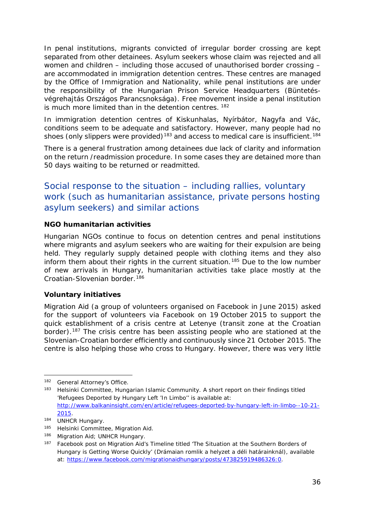<span id="page-35-2"></span>In penal institutions, migrants convicted of irregular border crossing are kept separated from other detainees. Asylum seekers whose claim was rejected and all women and children – including those accused of unauthorised border crossing – are accommodated in immigration detention centres. These centres are managed by the Office of Immigration and Nationality, while penal institutions are under the responsibility of the Hungarian Prison Service Headquarters (*Büntetésvégrehajtás Országos Parancsnoksága)*. Free movement inside a penal institution is much more limited than in the detention centres. <sup>[182](#page-35-0)</sup>

In immigration detention centres of Kiskunhalas, Nyírbátor, Nagyfa and Vác, conditions seem to be adequate and satisfactory. However, many people had no shoes (only slippers were provided)<sup>[183](#page-35-1)</sup> and access to medical care is insufficient.<sup>[184](#page-35-2)</sup>

There is a general frustration among detainees due lack of clarity and information on the return /readmission procedure. In some cases they are detained more than 50 days waiting to be returned or readmitted.

### Social response to the situation – including rallies, voluntary work (such as humanitarian assistance, private persons hosting asylum seekers) and similar actions

#### **NGO humanitarian activities**

Hungarian NGOs continue to focus on detention centres and penal institutions where migrants and asylum seekers who are waiting for their expulsion are being held. They regularly supply detained people with clothing items and they also inform them about their rights in the current situation.<sup>[185](#page-35-3)</sup> Due to the low number of new arrivals in Hungary, humanitarian activities take place mostly at the Croatian-Slovenian border.<sup>[186](#page-35-2)</sup>

#### **Voluntary initiatives**

Migration Aid (a group of volunteers organised on Facebook in June 2015) asked for the support of volunteers via Facebook on 19 October 2015 to support the quick establishment of a crisis centre at Letenye (transit zone at the Croatian border).<sup>[187](#page-35-4)</sup> The crisis centre has been assisting people who are stationed at the Slovenian-Croatian border efficiently and continuously since 21 October 2015. The centre is also helping those who cross to Hungary. However, there was very little

<span id="page-35-0"></span><sup>182</sup> General Attorney's Office. j,

<span id="page-35-1"></span><sup>183</sup> Helsinki Committee, Hungarian Islamic Community. A short report on their findings titled 'Refugees Deported by Hungary Left 'In Limbo'' is available at: [http://www.balkaninsight.com/en/article/refugees-deported-by-hungary-left-in-limbo--10-21-](http://www.balkaninsight.com/en/article/refugees-deported-by-hungary-left-in-limbo--10-21-2015) [2015.](http://www.balkaninsight.com/en/article/refugees-deported-by-hungary-left-in-limbo--10-21-2015)

<sup>184</sup> UNHCR Hungary.<br>185 Helsinki Committ

Helsinki Committee, Migration Aid.

<span id="page-35-3"></span><sup>186</sup> Migration Aid; UNHCR Hungary.

<span id="page-35-4"></span><sup>&</sup>lt;sup>187</sup> Facebook post on Migration Aid's Timeline titled 'The Situation at the Southern Borders of Hungary is Getting Worse Quickly' (*Drámaian romlik a helyzet a déli határainknál)*, available at: [https://www.facebook.com/migrationaidhungary/posts/473825919486326:0.](https://www.facebook.com/migrationaidhungary/posts/473825919486326:0)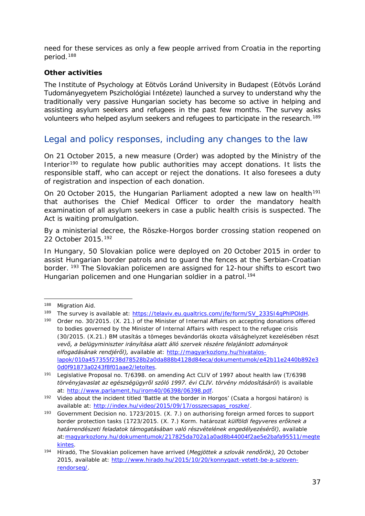<span id="page-36-6"></span>need for these services as only a few people arrived from Croatia in the reporting period.[188](#page-36-0)

#### **Other activities**

The Institute of Psychology at Eötvös Loránd University in Budapest *(Eötvös Loránd Tudományegyetem Pszichológiai Intézete)* launched a survey to understand why the traditionally very passive Hungarian society has become so active in helping and assisting asylum seekers and refugees in the past few months. The survey asks volunteers who helped asylum seekers and refugees to participate in the research.<sup>[189](#page-36-1)</sup>

### Legal and policy responses, including any changes to the law

On 21 October 2015, a new measure (Order) was adopted by the Ministry of the Interior<sup>[190](#page-36-2)</sup> to regulate how public authorities may accept donations. It lists the responsible staff, who can accept or reject the donations. It also foresees a duty of registration and inspection of each donation.

On 20 October 2015, the Hungarian Parliament adopted a new law on health<sup>[191](#page-36-3)</sup> that authorises the Chief Medical Officer to order the mandatory health examination of all asylum seekers in case a public health crisis is suspected. The Act is waiting promulgation.

By a ministerial decree, the Röszke-Horgos border crossing station reopened on 22 October 2015.[192](#page-36-4)

In Hungary, 50 Slovakian police were deployed on 20 October 2015 in order to assist Hungarian border patrols and to guard the fences at the Serbian-Croatian border. <sup>[193](#page-36-5)</sup> The Slovakian policemen are assigned for 12-hour shifts to escort two Hungarian policemen and one Hungarian soldier in a patrol.<sup>[194](#page-36-6)</sup>

<span id="page-36-0"></span>Migration Aid. 188

<span id="page-36-1"></span><sup>189</sup> The survey is available at: [https://telaviv.eu.qualtrics.com/jfe/form/SV\\_233SI4gPhlPOldH.](https://telaviv.eu.qualtrics.com/jfe/form/SV_233SI4gPhlPOldH)

<span id="page-36-2"></span><sup>190</sup> Order no. 30/2015. (X. 21.) of the Minister of Internal Affairs on accepting donations offered to bodies governed by the Minister of Internal Affairs with respect to the refugee crisis (*30/2015. (X.21.) BM utasítás a tömeges bevándorlás okozta válsághelyzet kezelésében részt vevő, a belügyminiszter irányítása alatt álló szervek részére felajánlott adományok elfogadásának rendjéről),* available at: [http://magyarkozlony.hu/hivatalos](http://magyarkozlony.hu/hivatalos-lapok/010a457355f238d78528b2a0da888b4128d84eca/dokumentumok/e42b11e2440b892e30d0f91873a0243f8f01aae2/letoltes)[lapok/010a457355f238d78528b2a0da888b4128d84eca/dokumentumok/e42b11e2440b892e3](http://magyarkozlony.hu/hivatalos-lapok/010a457355f238d78528b2a0da888b4128d84eca/dokumentumok/e42b11e2440b892e30d0f91873a0243f8f01aae2/letoltes) [0d0f91873a0243f8f01aae2/letoltes.](http://magyarkozlony.hu/hivatalos-lapok/010a457355f238d78528b2a0da888b4128d84eca/dokumentumok/e42b11e2440b892e30d0f91873a0243f8f01aae2/letoltes)

<span id="page-36-3"></span><sup>191</sup> Legislative Proposal no. T/6398. on amending Act CLIV of 1997 about health law (*T/6398 törvényjavaslat az egészségügyről szóló 1997. évi CLIV. törvény módosításáról*) is available at: [http://www.parlament.hu/irom40/06398/06398.pdf.](http://www.parlament.hu/irom40/06398/06398.pdf)

<span id="page-36-4"></span><sup>192</sup> Video about the incident titled 'Battle at the border in Horgos' (*Csata a horgosi határon)* is available at: [http://index.hu/video/2015/09/17/osszecsapas\\_roszke/.](http://index.hu/video/2015/09/17/osszecsapas_roszke/)

<span id="page-36-5"></span><sup>193</sup> Government Decision no. 1723/2015. (X. 7.) on authorising foreign armed forces to support border protection tasks (*1723/2015. (X. 7.) Korm. határozat külföldi fegyveres erőknek a határrendészeti feladatok támogatásában való részvételének engedélyezéséről)*, available at[:magyarkozlony.hu/dokumentumok/217825da702a1a0ad8b44004f2ae5e2bafa95511/megte](http://magyarkozlony.hu/dokumentumok/217825da702a1a0ad8b44004f2ae5e2bafa95511/megtekintes) [kintes.](http://magyarkozlony.hu/dokumentumok/217825da702a1a0ad8b44004f2ae5e2bafa95511/megtekintes)

<sup>194</sup> Híradó, The Slovakian policemen have arrived (*Megjöttek a szlovák rendőrök),* 20 October 2015, available at: [http://www.hirado.hu/2015/10/20/konnygazt-vetett-be-a-szloven](http://www.hirado.hu/2015/10/20/konnygazt-vetett-be-a-szloven-rendorseg/)[rendorseg/.](http://www.hirado.hu/2015/10/20/konnygazt-vetett-be-a-szloven-rendorseg/)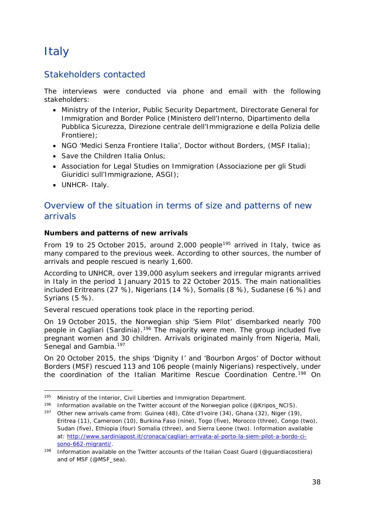# <span id="page-37-3"></span><span id="page-37-0"></span>**Italy**

### Stakeholders contacted

The interviews were conducted via phone and email with the following stakeholders:

- Ministry of the Interior, Public Security Department, Directorate General for Immigration and Border Police (Ministero dell'Interno, Dipartimento della Pubblica Sicurezza, Direzione centrale dell'Immigrazione e della Polizia delle Frontiere);
- NGO 'Medici Senza Frontiere Italia', Doctor without Borders, (MSF Italia);
- Save the Children Italia Onlus:
- Association for Legal Studies on Immigration (Associazione per gli Studi Giuridici sull'Immigrazione, ASGI);
- UNHCR- Italy.

### Overview of the situation in terms of size and patterns of new arrivals

#### **Numbers and patterns of new arrivals**

From 19 to 25 October 2015, around 2,000 people<sup>[195](#page-37-1)</sup> arrived in Italy, twice as many compared to the previous week. According to other sources, the number of arrivals and people rescued is nearly 1,600.

According to UNHCR, over 139,000 asylum seekers and irregular migrants arrived in Italy in the period 1 January 2015 to 22 October 2015. The main nationalities included Eritreans (27 %), Nigerians (14 %), Somalis (8 %), Sudanese (6 %) and Syrians (5 %).

Several rescued operations took place in the reporting period.

On 19 October 2015, the Norwegian ship '*Siem Pilot*' disembarked nearly 700 people in Cagliari (Sardinia).<sup>[196](#page-37-2)</sup> The majority were men. The group included five pregnant women and 30 children. Arrivals originated mainly from Nigeria, Mali, Senegal and Gambia.<sup>[197](#page-37-3)</sup>

On 20 October 2015, the ships 'Dignity I' and 'Bourbon Argos' of Doctor without Borders (MSF) rescued 113 and 106 people (mainly Nigerians) respectively, under the coordination of the Italian Maritime Rescue Coordination Centre.<sup>[198](#page-37-4)</sup> On

<sup>&</sup>lt;sup>195</sup> Ministry of the Interior, Civil Liberties and Immigration Department. -

<span id="page-37-2"></span><span id="page-37-1"></span><sup>196</sup> Information available on the Twitter account of the Norwegian police [\(@Kripos\\_NCIS\)](https://twitter.com/Kripos_NCIS).

<sup>197</sup> Other new arrivals came from: Guinea (48), Côte d'Ivoire (34), Ghana (32), Niger (19), Eritrea (11), Cameroon (10), Burkina Faso (nine), Togo (five), Morocco (three), Congo (two), Sudan (five), Ethiopia (four) Somalia (three), and Sierra Leone (two). Information available at: [http://www.sardiniapost.it/cronaca/cagliari-arrivata-al-porto-la-siem-pilot-a-bordo-ci](http://www.sardiniapost.it/cronaca/cagliari-arrivata-al-porto-la-siem-pilot-a-bordo-ci-sono-662-migranti/)[sono-662-migranti/.](http://www.sardiniapost.it/cronaca/cagliari-arrivata-al-porto-la-siem-pilot-a-bordo-ci-sono-662-migranti/)

<span id="page-37-4"></span>Information available on the Twitter accounts of the Italian Coast Guard (@guardiacostiera) and of MSF (@MSF\_sea).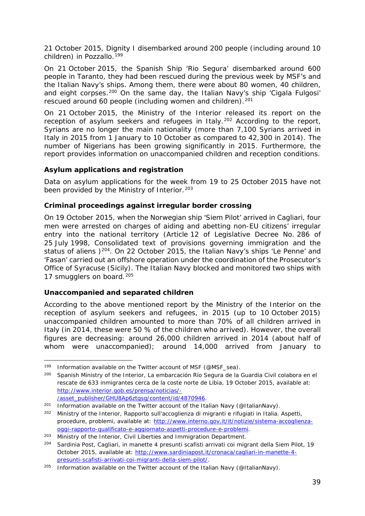<span id="page-38-2"></span>21 October 2015, Dignity I disembarked around 200 people (including around 10 children) in Pozzallo.<sup>[199](#page-38-0)</sup>

On 21 October 2015, the Spanish Ship 'Rio Segura' disembarked around 600 people in Taranto, they had been rescued during the previous week by MSF's and the Italian Navy's ships. Among them, there were about 80 women, 40 children, and eight corpses.<sup>[200](#page-38-1)</sup> On the same day, the Italian Navy's ship 'Cigala Fulgosi' rescued around 60 people (including women and children).<sup>[201](#page-38-2)</sup>

On 21 October 2015, the Ministry of the Interior released its report on the reception of asylum seekers and refugees in Italy.<sup>[202](#page-38-3)</sup> According to the report, Syrians are no longer the main nationality (more than 7,100 Syrians arrived in Italy in 2015 from 1 January to 10 October as compared to 42,300 in 2014). The number of Nigerians has been growing significantly in 2015. Furthermore, the report provides information on unaccompanied children and reception conditions.

#### **Asylum applications and registration**

Data on asylum applications for the week from 19 to 25 October 2015 have not been provided by the Ministry of Interior.<sup>[203](#page-38-4)</sup>

#### **Criminal proceedings against irregular border crossing**

On 19 October 2015, when the Norwegian ship '*Siem Pilot*' arrived in Cagliari, four men were arrested on charges of aiding and abetting non-EU citizens' irregular entry into the national territory (Article 12 of Legislative Decree No. 286 of 25 July 1998, Consolidated text of provisions governing immigration and the status of aliens )<sup>[204](#page-38-5)</sup>. On 22 October 2015, the Italian Navy's ships 'Le Penne' and 'Fasan' carried out an offshore operation under the coordination of the Prosecutor's Office of Syracuse (Sicily). The Italian Navy blocked and monitored two ships with 17 smugglers on board.<sup>[205](#page-38-2)</sup>

#### **Unaccompanied and separated children**

According to the above mentioned report by the Ministry of the Interior on the reception of asylum seekers and refugees, in 2015 (up to 10 October 2015) unaccompanied children amounted to more than 70% of all children arrived in Italy (in 2014, these were 50 % of the children who arrived). However, the overall figures are decreasing: around 26,000 children arrived in 2014 (about half of whom were unaccompanied); around 14,000 arrived from January to

<sup>201</sup> Information available on the Twitter account of the Italian Navy [\(@ItalianNavy\)](https://twitter.com/ItalianNavy).

<span id="page-38-0"></span><sup>199</sup> Information available on the Twitter account of MSF (@MSF\_sea). j,

<span id="page-38-1"></span><sup>200</sup> Spanish Ministry of the Interior, *La embarcación Río Segura de la Guardia Civil colabora en el rescate de 633 inmigrantes cerca de la coste norte de Libia,* 19 October 2015, available at: [http://www.interior.gob.es/prensa/noticias/-](http://www.interior.gob.es/prensa/noticias/-/asset_publisher/GHU8Ap6ztgsg/content/id/4870946) [/asset\\_publisher/GHU8Ap6ztgsg/content/id/4870946.](http://www.interior.gob.es/prensa/noticias/-/asset_publisher/GHU8Ap6ztgsg/content/id/4870946)

<span id="page-38-3"></span><sup>202</sup> Ministry of the Interior, *Rapporto sull'accoglienza di migranti e rifugiati in Italia. Aspetti, procedure, problemi*, available at: [http://www.interno.gov.it/it/notizie/sistema-accoglienza](http://www.interno.gov.it/it/notizie/sistema-accoglienza-oggi-rapporto-qualificato-e-aggiornato-aspetti-procedure-e-problemi)[oggi-rapporto-qualificato-e-aggiornato-aspetti-procedure-e-problemi.](http://www.interno.gov.it/it/notizie/sistema-accoglienza-oggi-rapporto-qualificato-e-aggiornato-aspetti-procedure-e-problemi)

<span id="page-38-4"></span><sup>&</sup>lt;sup>203</sup> Ministry of the Interior, Civil Liberties and Immigration Department.

<span id="page-38-5"></span><sup>204</sup> Sardinia Post, Cagliari, in manette 4 presunti scafisti arrivati coi migrant della Siem Pilot, 19 October 2015, available at: [http://www.sardiniapost.it/cronaca/cagliari-in-manette-4](http://www.sardiniapost.it/cronaca/cagliari-in-manette-4-presunti-scafisti-arrivati-coi-migranti-della-siem-pilot/) [presunti-scafisti-arrivati-coi-migranti-della-siem-pilot/.](http://www.sardiniapost.it/cronaca/cagliari-in-manette-4-presunti-scafisti-arrivati-coi-migranti-della-siem-pilot/)

<sup>&</sup>lt;sup>205</sup> Information available on the Twitter account of the Italian Navy [\(@ItalianNavy\)](https://twitter.com/ItalianNavy).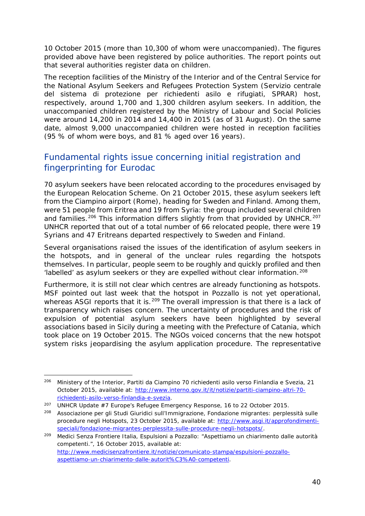<span id="page-39-1"></span>10 October 2015 (more than 10,300 of whom were unaccompanied). The figures provided above have been registered by police authorities. The report points out that several authorities register data on children.

The reception facilities of the Ministry of the Interior and of the Central Service for the National Asylum Seekers and Refugees Protection System (*Servizio centrale del sistema di protezione per richiedenti asilo e rifugiati,* SPRAR) host, respectively, around 1,700 and 1,300 children asylum seekers. In addition, the unaccompanied children registered by the Ministry of Labour and Social Policies were around 14,200 in 2014 and 14,400 in 2015 (as of 31 August). On the same date, almost 9,000 unaccompanied children were hosted in reception facilities (95 % of whom were boys, and 81 % aged over 16 years).

### Fundamental rights issue concerning initial registration and fingerprinting for Eurodac

70 asylum seekers have been relocated according to the procedures envisaged by the European Relocation Scheme. On 21 October 2015, these asylum seekers left from the Ciampino airport (Rome), heading for Sweden and Finland. Among them, were 51 people from Eritrea and 19 from Syria: the group included several children and families.<sup>[206](#page-39-0)</sup> This information differs slightly from that provided by UNHCR.<sup>[207](#page-39-1)</sup> UNHCR reported that out of a total number of 66 relocated people, there were 19 Syrians and 47 Eritreans departed respectively to Sweden and Finland.

Several organisations raised the issues of the identification of asylum seekers in the hotspots, and in general of the unclear rules regarding the hotspots themselves. In particular, people seem to be roughly and quickly profiled and then 'labelled' as asylum seekers or they are expelled without clear information.<sup>[208](#page-39-2)</sup>

Furthermore, it is still not clear which centres are already functioning as hotspots. MSF pointed out last week that the hotspot in Pozzallo is not yet operational, whereas ASGI reports that it is.<sup>[209](#page-39-3)</sup> The overall impression is that there is a lack of transparency which raises concern. The uncertainty of procedures and the risk of expulsion of potential asylum seekers have been highlighted by several associations based in Sicily during a meeting with the Prefecture of Catania, which took place on 19 October 2015. The NGOs voiced concerns that the new hotspot system risks jeopardising the asylum application procedure. The representative

<span id="page-39-0"></span><sup>206</sup> Ministery of the Interior, *Partiti da Ciampino 70 richiedenti asilo verso Finlandia e Svezia,* 21 October 2015, available at: [http://www.interno.gov.it/it/notizie/partiti-ciampino-altri-70](http://www.interno.gov.it/it/notizie/partiti-ciampino-altri-70-richiedenti-asilo-verso-finlandia-e-svezia) [richiedenti-asilo-verso-finlandia-e-svezia.](http://www.interno.gov.it/it/notizie/partiti-ciampino-altri-70-richiedenti-asilo-verso-finlandia-e-svezia) j,

<sup>&</sup>lt;sup>207</sup> UNHCR Update  $#7$  Europe's Refugee Emergency Response, 16 to 22 October 2015.

<span id="page-39-2"></span><sup>208</sup> Associazione per gli Studi Giuridici sull'Immigrazione, *Fondazione migrantes: perplessità sulle procedure negli Hotspots,* 23 October 2015, available at: [http://www.asgi.it/approfondimenti](http://www.asgi.it/approfondimenti-speciali/fondazione-migrantes-perplessita-sulle-procedure-negli-hotspots/)[speciali/fondazione-migrantes-perplessita-sulle-procedure-negli-hotspots/.](http://www.asgi.it/approfondimenti-speciali/fondazione-migrantes-perplessita-sulle-procedure-negli-hotspots/)

<span id="page-39-3"></span><sup>209</sup> Medici Senza Frontiere Italia, *Espulsioni a Pozzallo: "Aspettiamo un chiarimento dalle autorità competenti."*, 16 October 2015, available at: [http://www.medicisenzafrontiere.it/notizie/comunicato-stampa/espulsioni-pozzallo](http://www.medicisenzafrontiere.it/notizie/comunicato-stampa/espulsioni-pozzallo-aspettiamo-un-chiarimento-dalle-autorit%C3%A0-competenti)[aspettiamo-un-chiarimento-dalle-autorit%C3%A0-competenti.](http://www.medicisenzafrontiere.it/notizie/comunicato-stampa/espulsioni-pozzallo-aspettiamo-un-chiarimento-dalle-autorit%C3%A0-competenti)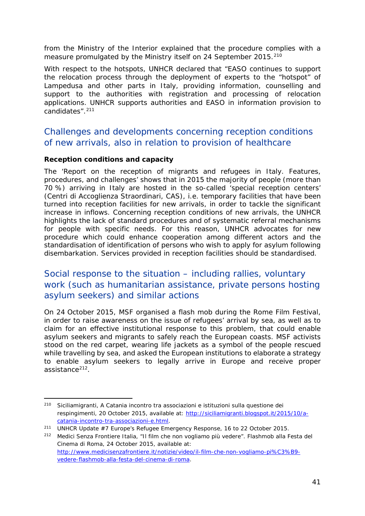from the Ministry of the Interior explained that the procedure complies with a measure promulgated by the Ministry itself on 24 September 2015.<sup>[210](#page-40-0)</sup>

With respect to the hotspots, UNHCR declared that "*EASO continues to support the relocation process through the deployment of experts to the "hotspot" of Lampedusa and other parts in Italy, providing information, counselling and support to the authorities with registration and processing of relocation applications. UNHCR supports authorities and EASO in information provision to candidates*".[211](#page-40-1)

### Challenges and developments concerning reception conditions of new arrivals, also in relation to provision of healthcare

#### **Reception conditions and capacity**

The '*Report on the reception of migrants and refugees in Italy. Features, procedures, and challenges*' shows that in 2015 the majority of people (more than 70 %) arriving in Italy are hosted in the so-called 'special reception centers' (C*entri di Accoglienza Straordinari*, CAS), i.e. temporary facilities that have been turned into reception facilities for new arrivals, in order to tackle the significant increase in inflows. Concerning reception conditions of new arrivals, the UNHCR highlights the lack of standard procedures and of systematic referral mechanisms for people with specific needs. For this reason, UNHCR advocates for new procedure which could enhance cooperation among different actors and the standardisation of identification of persons who wish to apply for asylum following disembarkation. Services provided in reception facilities should be standardised.

### Social response to the situation – including rallies, voluntary work (such as humanitarian assistance, private persons hosting asylum seekers) and similar actions

On 24 October 2015, MSF organised a flash mob during the Rome Film Festival, in order to raise awareness on the issue of refugees' arrival by sea, as well as to claim for an effective institutional response to this problem, that could enable asylum seekers and migrants to safely reach the European coasts. MSF activists stood on the red carpet, wearing life jackets as a symbol of the people rescued while travelling by sea, and asked the European institutions to elaborate a strategy to enable asylum seekers to legally arrive in Europe and receive proper assistance<sup>212</sup>.

<span id="page-40-0"></span><sup>210</sup> Siciliamigranti, *A Catania incontro tra associazioni e istituzioni sulla questione dei respingimenti*, 20 October 2015, available at: [http://siciliamigranti.blogspot.it/2015/10/a](http://siciliamigranti.blogspot.it/2015/10/a-catania-incontro-tra-associazioni-e.html)[catania-incontro-tra-associazioni-e.html.](http://siciliamigranti.blogspot.it/2015/10/a-catania-incontro-tra-associazioni-e.html) -

<span id="page-40-1"></span><sup>211</sup> UNHCR Update #7 Europe's Refugee Emergency Response, 16 to 22 October 2015.

<span id="page-40-2"></span><sup>212</sup> Medici Senza Frontiere Italia, *"Il film che non vogliamo più vedere". Flashmob alla Festa del Cinema di Roma*, 24 October 2015, available at: [http://www.medicisenzafrontiere.it/notizie/video/il-film-che-non-vogliamo-pi%C3%B9](http://www.medicisenzafrontiere.it/notizie/video/il-film-che-non-vogliamo-pi%C3%B9-vedere-flashmob-alla-festa-del-cinema-di-roma) [vedere-flashmob-alla-festa-del-cinema-di-roma.](http://www.medicisenzafrontiere.it/notizie/video/il-film-che-non-vogliamo-pi%C3%B9-vedere-flashmob-alla-festa-del-cinema-di-roma)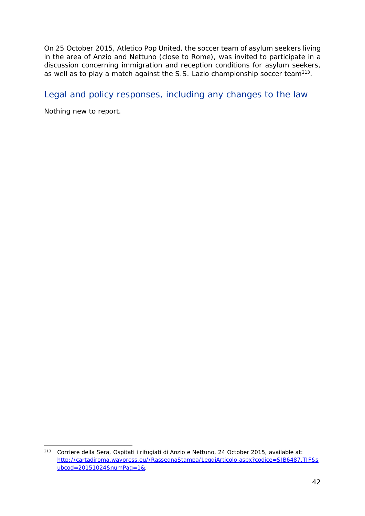On 25 October 2015, Atletico Pop United, the soccer team of asylum seekers living in the area of Anzio and Nettuno (close to Rome), was invited to participate in a discussion concerning immigration and reception conditions for asylum seekers, as well as to play a match against the S.S. Lazio championship soccer team<sup>213</sup>.

### Legal and policy responses, including any changes to the law

Nothing new to report.

<span id="page-41-0"></span><sup>213</sup> Corriere della Sera, *Ospitati i rifugiati di Anzio e Nettuno,* 24 October 2015, available at: [http://cartadiroma.waypress.eu//RassegnaStampa/LeggiArticolo.aspx?codice=SIB6487.TIF&s](http://cartadiroma.waypress.eu/RassegnaStampa/LeggiArticolo.aspx?codice=SIB6487.TIF&subcod=20151024&numPag=1&) [ubcod=20151024&numPag=1&.](http://cartadiroma.waypress.eu/RassegnaStampa/LeggiArticolo.aspx?codice=SIB6487.TIF&subcod=20151024&numPag=1&) -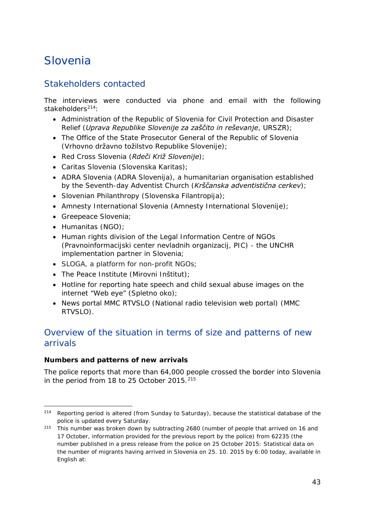## <span id="page-42-0"></span>Slovenia

### Stakeholders contacted

The interviews were conducted via phone and email with the following stakeholders[214](#page-42-1):

- Administration of the Republic of Slovenia for Civil Protection and Disaster Relief (*Uprava Republike Slovenije za zaščito in reševanje*, *URSZR*);
- The Office of the State Prosecutor General of the Republic of Slovenia (*Vrhovno državno tožilstvo Republike Slovenije*);
- Red Cross Slovenia (*Rdeči Križ Slovenije*);
- Caritas Slovenia (*Slovenska Karitas*);
- ADRA Slovenia (*ADRA Slovenija*), a humanitarian organisation established by the Seventh-day Adventist Church (*Krščanska adventistična cerkev*);
- Slovenian Philanthropy (*Slovenska Filantropija*);
- Amnesty International Slovenia (*Amnesty International Slovenije*);
- Greepeace Slovenia;
- Humanitas (NGO);
- Human rights division of the Legal Information Centre of NGOs (*Pravnoinformacijski center nevladnih organizacij, PIC*) - the UNCHR implementation partner in Slovenia;
- SLOGA, a platform for non-profit NGOs;
- The Peace Institute (*Mirovni Inštitut*);
- Hotline for reporting hate speech and child sexual abuse images on the internet "Web eye" (*Spletno oko*);
- News portal MMC RTVSLO (National radio television web portal) (*MMC RTVSLO*).

### Overview of the situation in terms of size and patterns of new arrivals

#### **Numbers and patterns of new arrivals**

The police reports that more than 64,000 people crossed the border into Slovenia in the period from 18 to 25 October 2015.<sup>[215](#page-42-2)</sup>

<span id="page-42-1"></span><sup>&</sup>lt;sup>214</sup> Reporting period is altered (from Sunday to Saturday), because the statistical database of the police is updated every Saturday. -

<span id="page-42-2"></span><sup>&</sup>lt;sup>215</sup> This number was broken down by subtracting 2680 (number of people that arrived on 16 and 17 October, information provided for the previous report by the police) from 62235 (the number published in a press release from the police on 25 October 2015: *Statistical data on the number of migrants having arrived in Slovenia on 25. 10. 2015 by 6:00 today*, available in English at: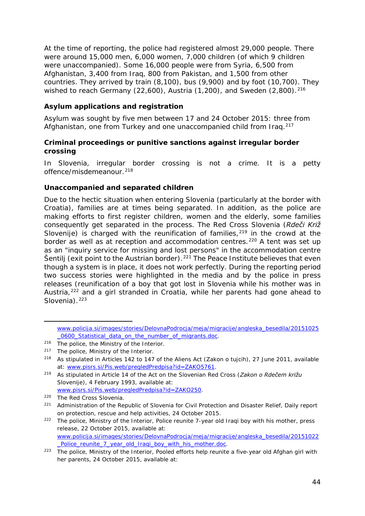<span id="page-43-4"></span>At the time of reporting, the police had registered almost 29,000 people. There were around 15,000 men, 6,000 women, 7,000 children (of which 9 children were unaccompanied). Some 16,000 people were from Syria, 6,500 from Afghanistan, 3,400 from Iraq, 800 from Pakistan, and 1,500 from other countries. They arrived by train (8,100), bus (9,900) and by foot (10,700). They wished to reach Germany (22,600), Austria (1,200), and Sweden (2,800).<sup>[216](#page-43-0)</sup>

#### **Asylum applications and registration**

Asylum was sought by five men between 17 and 24 October 2015: three from Afghanistan, one from Turkey and one unaccompanied child from Irag.<sup>[217](#page-43-1)</sup>

#### **Criminal proceedings or punitive sanctions against irregular border crossing**

In Slovenia, irregular border crossing is not a crime. It is a petty offence/misdemeanour.<sup>[218](#page-43-2)</sup>

#### **Unaccompanied and separated children**

Due to the hectic situation when entering Slovenia (particularly at the border with Croatia), families are at times being separated. In addition, as the police are making efforts to first register children, women and the elderly, some families consequently get separated in the process. The Red Cross Slovenia (*Rdeči Križ Slovenije*) is charged with the reunification of families,<sup>[219](#page-43-3)</sup> in the crowd at the border as well as at reception and accommodation centres.<sup>[220](#page-43-4)</sup> A tent was set up as an "inquiry service for missing and lost persons" in the accommodation centre Šentilj (exit point to the Austrian border).<sup>[221](#page-43-4)</sup> The Peace Institute believes that even though a system is in place, it does not work perfectly. During the reporting period two success stories were highlighted in the media and by the police in press releases (reunification of a boy that got lost in Slovenia while his mother was in Austria,<sup>[222](#page-43-4)</sup> and a girl stranded in Croatia, while her parents had gone ahead to Slovenia).<sup>[223](#page-43-4)</sup>

j,

[www.policija.si/images/stories/DelovnaPodrocja/meja/migracije/angleska\\_besedila/20151025](http://www.policija.si/images/stories/DelovnaPodrocja/meja/migracije/angleska_besedila/20151025_0600_Statistical_data_on_the_number_of_migrants.doc) 0600 Statistical data on the number of migrants.doc.

<span id="page-43-0"></span><sup>216</sup> The police, the Ministry of the Interior.

<span id="page-43-1"></span><sup>&</sup>lt;sup>217</sup> The police, Ministry of the Interior.<br><sup>218</sup> As stipulated in Articles 142 to 147

<span id="page-43-2"></span><sup>218</sup> As stipulated in Articles 142 to 147 of the Aliens Act (*Zakon o tujcih*), 27 June 2011, available at: [www.pisrs.si/Pis.web/pregledPredpisa?id=ZAKO5761.](http://www.pisrs.si/Pis.web/pregledPredpisa?id=ZAKO5761)

<span id="page-43-3"></span><sup>219</sup> As stipulated in Article 14 of the Act on the Slovenian Red Cross (*Zakon o Rdečem križu Slovenije*), 4 February 1993, available at: [www.pisrs.si/Pis.web/pregledPredpisa?id=ZAKO250.](http://www.pisrs.si/Pis.web/pregledPredpisa?id=ZAKO250)

<sup>220</sup> The Red Cross Slovenia.

<sup>221</sup> Administration of the Republic of Slovenia for Civil Protection and Disaster Relief, *Daily report on protection, rescue and help activities*, 24 October 2015.

<sup>222</sup> The police, Ministry of the Interior, *Police reunite 7-year old Iraqi boy with his mother, press release*, 22 October 2015, available at: [www.policija.si/images/stories/DelovnaPodrocja/meja/migracije/angleska\\_besedila/20151022](http://www.policija.si/images/stories/DelovnaPodrocja/meja/migracije/angleska_besedila/20151022_Police_reunite_7_year_old_Iraqi_boy_with_his_mother.doc) Police\_reunite\_7\_year\_old\_Iraqi\_boy\_with\_his\_mother.doc.

<sup>223</sup> The police, Ministry of the Interior, *Pooled efforts help reunite a five-year old Afghan girl with her parents*, 24 October 2015, available at: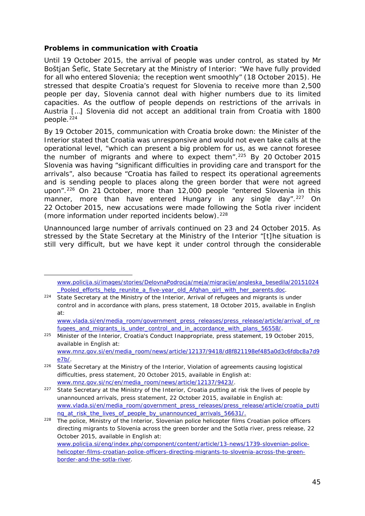#### <span id="page-44-2"></span>**Problems in communication with Croatia**

-

Until 19 October 2015, the arrival of people was under control, as stated by Mr Boštjan Šefic, State Secretary at the Ministry of Interior: "*We have fully provided for all who entered Slovenia; the reception went smoothly*" (18 October 2015). He stressed that despite Croatia's request for Slovenia to receive more than 2,500 people per day, Slovenia cannot deal with higher numbers due to its limited capacities. As the outflow of people depends on restrictions of the arrivals in Austria […] Slovenia did not accept an additional train from Croatia with 1800 people.<sup>[224](#page-44-0)</sup>

By 19 October 2015, communication with Croatia broke down: the Minister of the Interior stated that Croatia was unresponsive and would not even take calls at the operational level, "*which can present a big problem for us, as we cannot foresee the number of migrants and where to expect them*"[.225](#page-44-1) By 20 October 2015 Slovenia was having "*significant difficulties in providing care and transport for the arrivals*", also because "*Croatia has failed to respect its operational agreements and is sending people to places along the green border that were not agreed upon*".[226](#page-44-2) On 21 October, more than 12,000 people "*entered Slovenia in this manner, more than have entered Hungary in any single day*".[227](#page-44-2) On 22 October 2015, new accusations were made following the Sotla river incident (more information under reported incidents below).<sup>[228](#page-44-2)</sup>

Unannounced large number of arrivals continued on 23 and 24 October 2015. As stressed by the State Secretary at the Ministry of the Interior "*[t]he situation is still very difficult, but we have kept it under control through the considerable* 

<span id="page-44-1"></span><sup>225</sup> Minister of the Interior, *Croatia's Conduct Inappropriate*, press statement, 19 October 2015, available in English at: [www.mnz.gov.si/en/media\\_room/news/article/12137/9418/d8f821198ef485a0d3c6fdbc8a7d9](http://www.mnz.gov.si/en/media_room/news/article/12137/9418/d8f821198ef485a0d3c6fdbc8a7d9e7b/) [e7b/.](http://www.mnz.gov.si/en/media_room/news/article/12137/9418/d8f821198ef485a0d3c6fdbc8a7d9e7b/)

[www.policija.si/images/stories/DelovnaPodrocja/meja/migracije/angleska\\_besedila/20151024](http://www.policija.si/images/stories/DelovnaPodrocja/meja/migracije/angleska_besedila/20151024_Pooled_efforts_help_reunite_a_five-year_old_Afghan_girl_with_her_parents.doc) [\\_Pooled\\_efforts\\_help\\_reunite\\_a\\_five-year\\_old\\_Afghan\\_girl\\_with\\_her\\_parents.doc.](http://www.policija.si/images/stories/DelovnaPodrocja/meja/migracije/angleska_besedila/20151024_Pooled_efforts_help_reunite_a_five-year_old_Afghan_girl_with_her_parents.doc)

<span id="page-44-0"></span><sup>224</sup> State Secretary at the Ministry of the Interior, *Arrival of refugees and migrants is under control and in accordance with plans*, press statement, 18 October 2015, available in English at:

[www.vlada.si/en/media\\_room/government\\_press\\_releases/press\\_release/article/arrival\\_of\\_re](http://www.vlada.si/en/media_room/government_press_releases/press_release/article/arrival_of_refugees_and_migrants_is_under_control_and_in_accordance_with_plans_56558/) fugees and migrants is under control and in accordance with plans 56558/.

<sup>226</sup> State Secretary at the Ministry of the Interior, *Violation of agreements causing logistical difficulties*, press statement, 20 October 2015, available in English at: [www.mnz.gov.si/nc/en/media\\_room/news/article/12137/9423/.](http://www.mnz.gov.si/nc/en/media_room/news/article/12137/9423/)

<sup>227</sup> State Secretary at the Ministry of the Interior, *Croatia putting at risk the lives of people by unannounced arrivals*, press statement, 22 October 2015, available in English at: [www.vlada.si/en/media\\_room/government\\_press\\_releases/press\\_release/article/croatia\\_putti](http://www.vlada.si/en/media_room/government_press_releases/press_release/article/croatia_putting_at_risk_the_lives_of_people_by_unannounced_arrivals_56631/) [ng\\_at\\_risk\\_the\\_lives\\_of\\_people\\_by\\_unannounced\\_arrivals\\_56631/.](http://www.vlada.si/en/media_room/government_press_releases/press_release/article/croatia_putting_at_risk_the_lives_of_people_by_unannounced_arrivals_56631/)

<sup>228</sup> The police, Ministry of the Interior, *Slovenian police helicopter films Croatian police officers directing migrants to Slovenia across the green border and the Sotla river*, press release, 22 October 2015, available in English at: [www.policija.si/eng/index.php/component/content/article/13-news/1739-slovenian-police](http://www.policija.si/eng/index.php/component/content/article/13-news/1739-slovenian-police-helicopter-films-croatian-police-officers-directing-migrants-to-slovenia-across-the-green-border-and-the-sotla-river)[helicopter-films-croatian-police-officers-directing-migrants-to-slovenia-across-the-green](http://www.policija.si/eng/index.php/component/content/article/13-news/1739-slovenian-police-helicopter-films-croatian-police-officers-directing-migrants-to-slovenia-across-the-green-border-and-the-sotla-river)[border-and-the-sotla-river.](http://www.policija.si/eng/index.php/component/content/article/13-news/1739-slovenian-police-helicopter-films-croatian-police-officers-directing-migrants-to-slovenia-across-the-green-border-and-the-sotla-river)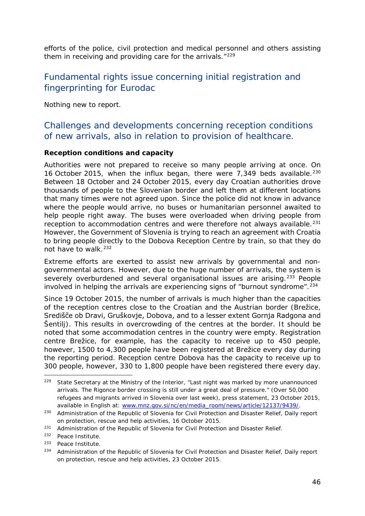<span id="page-45-5"></span>*efforts of the police, civil protection and medical personnel and others assisting them in receiving and providing care for the arrivals*."[229](#page-45-0) 

### Fundamental rights issue concerning initial registration and fingerprinting for Eurodac

Nothing new to report.

### Challenges and developments concerning reception conditions of new arrivals, also in relation to provision of healthcare.

#### **Reception conditions and capacity**

Authorities were not prepared to receive so many people arriving at once. On 16 October 2015, when the influx began, there were 7,349 beds available.<sup>[230](#page-45-1)</sup> Between 18 October and 24 October 2015, every day Croatian authorities drove thousands of people to the Slovenian border and left them at different locations that many times were not agreed upon. Since the police did not know in advance where the people would arrive, no buses or humanitarian personnel awaited to help people right away. The buses were overloaded when driving people from reception to accommodation centres and were therefore not always available.<sup>[231](#page-45-2)</sup> However, the Government of Slovenia is trying to reach an agreement with Croatia to bring people directly to the Dobova Reception Centre by train, so that they do not have to walk.<sup>[232](#page-45-3)</sup>

Extreme efforts are exerted to assist new arrivals by governmental and nongovernmental actors. However, due to the huge number of arrivals, the system is severely overburdened and several organisational issues are arising.<sup>[233](#page-45-4)</sup> People involved in helping the arrivals are experiencing signs of "burnout syndrome".<sup>[234](#page-45-5)</sup>

Since 19 October 2015, the number of arrivals is much higher than the capacities of the reception centres close to the Croatian and the Austrian border (Brežice, Središče ob Dravi, Gruškovje, Dobova, and to a lesser extent Gornja Radgona and Šentilj). This results in overcrowding of the centres at the border. It should be noted that some accommodation centres in the country were empty. Registration centre Brežice, for example, has the capacity to receive up to 450 people, however, 1500 to 4,300 people have been registered at Brežice every day during the reporting period. Reception centre Dobova has the capacity to receive up to 300 people, however, 330 to 1,800 people have been registered there every day.

<span id="page-45-0"></span> $229$  State Secretary at the Ministry of the Interior, "Last night was marked by more unannounced arrivals. The Rigonce border crossing is still under a great deal of pressure." (*Over 50,000 refugees and migrants arrived in Slovenia over last week)*, press statement, 23 October 2015, available in English at: [www.mnz.gov.si/nc/en/media\\_room/news/article/12137/9439/.](http://www.mnz.gov.si/nc/en/media_room/news/article/12137/9439/) j,

<span id="page-45-1"></span><sup>230</sup> Administration of the Republic of Slovenia for Civil Protection and Disaster Relief, *Daily report on protection, rescue and help activities*, 16 October 2015.

<span id="page-45-2"></span><sup>&</sup>lt;sup>231</sup> Administration of the Republic of Slovenia for Civil Protection and Disaster Relief.

<span id="page-45-3"></span><sup>232</sup> Peace Institute.

<span id="page-45-4"></span><sup>233</sup> Peace Institute.

<sup>234</sup> Administration of the Republic of Slovenia for Civil Protection and Disaster Relief, *Daily report on protection, rescue and help activities*, 23 October 2015.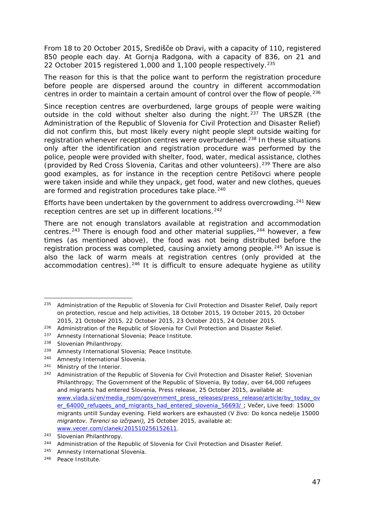<span id="page-46-3"></span>From 18 to 20 October 2015, Središče ob Dravi, with a capacity of 110, registered 850 people each day. At Gornja Radgona, with a capacity of 836, on 21 and 22 October 2015 registered 1,000 and 1,100 people respectively.<sup>[235](#page-46-0)</sup>

The reason for this is that the police want to perform the registration procedure before people are dispersed around the country in different accommodation centres in order to maintain a certain amount of control over the flow of people.<sup>[236](#page-46-1)</sup>

Since reception centres are overburdened, large groups of people were waiting outside in the cold without shelter also during the night.[237](#page-46-2) The *URSZR* (the Administration of the Republic of Slovenia for Civil Protection and Disaster Relief) did not confirm this, but most likely every night people slept outside waiting for registration whenever reception centres were overburdened.[238](#page-46-3) In these situations only after the identification and registration procedure was performed by the police, people were provided with shelter, food, water, medical assistance, clothes (provided by Red Cross Slovenia, Caritas and other volunteers).<sup>[239](#page-46-3)</sup> There are also good examples, as for instance in the reception centre Petišovci where people were taken inside and while they unpack, get food, water and new clothes, queues are formed and registration procedures take place.<sup>[240](#page-46-3)</sup>

Efforts have been undertaken by the government to address overcrowding.<sup>[241](#page-46-4)</sup> New reception centres are set up in different locations.<sup>[242](#page-46-3)</sup>

There are not enough translators available at registration and accommodation centres.[243](#page-46-5) There is enough food and other material supplies,[244](#page-46-3) however, a few times (as mentioned above), the food was not being distributed before the registration process was completed, causing anxiety among people.<sup>[245](#page-46-3)</sup> An issue is also the lack of warm meals at registration centres (only provided at the accommodation centres).<sup>[246](#page-46-3)</sup> It is difficult to ensure adequate hygiene as utility

<span id="page-46-0"></span><sup>235</sup> Administration of the Republic of Slovenia for Civil Protection and Disaster Relief, *Daily report on protection, rescue and help activities*, 18 October 2015, 19 October 2015, 20 October 2015, 21 October 2015, 22 October 2015, 23 October 2015, 24 October 2015. 235

<span id="page-46-1"></span><sup>&</sup>lt;sup>236</sup> Administration of the Republic of Slovenia for Civil Protection and Disaster Relief.

<span id="page-46-2"></span><sup>237</sup> Amnesty International Slovenia; Peace Institute.

<sup>238</sup> Slovenian Philanthropy.

<sup>239</sup> Amnesty International Slovenia; Peace Institute.

<sup>240</sup> Amnesty International Slovenia.

<span id="page-46-4"></span><sup>241</sup> Ministry of the Interior.

<sup>&</sup>lt;sup>242</sup> Administration of the Republic of Slovenia for Civil Protection and Disaster Relief; Slovenian Philanthropy; The Government of the Republic of Slovenia, *By today, over 64,000 refugees and migrants had entered Slovenia,* Press release, 25 October 2015, available at: [www.vlada.si/en/media\\_room/government\\_press\\_releases/press\\_release/article/by\\_today\\_ov](http://www.vlada.si/en/media_room/government_press_releases/press_release/article/by_today_over_64000_refugees_and_migrants_had_entered_slovenia_56693/) [er\\_64000\\_refugees\\_and\\_migrants\\_had\\_entered\\_slovenia\\_56693/](http://www.vlada.si/en/media_room/government_press_releases/press_release/article/by_today_over_64000_refugees_and_migrants_had_entered_slovenia_56693/) ; Večer, Live feed: 15000 migrants untill Sunday evening. Field workers are exhausted (*V živo: Do konca nedelje 15000 migrantov. Terenci so izčrpani),* 25 October 2015, available at: [www.vecer.com/clanek/201510256152611.](http://www.vecer.com/clanek/201510256152611)

<span id="page-46-5"></span><sup>243</sup> Slovenian Philanthropy.

<sup>&</sup>lt;sup>244</sup> Administration of the Republic of Slovenia for Civil Protection and Disaster Relief.

<sup>245</sup> Amnesty International Slovenia.

<sup>246</sup> Peace Institute.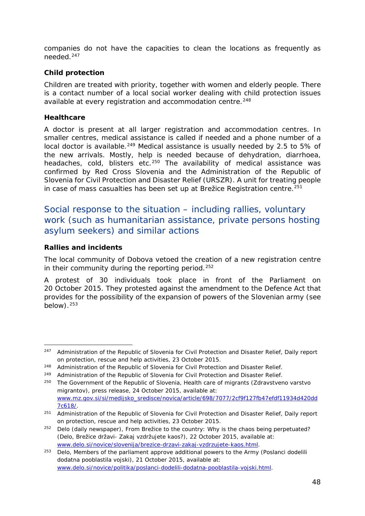<span id="page-47-3"></span>companies do not have the capacities to clean the locations as frequently as needed.[247](#page-47-0)

#### **Child protection**

Children are treated with priority, together with women and elderly people. There is a contact number of a local social worker dealing with child protection issues available at every registration and accommodation centre.<sup>[248](#page-47-1)</sup>

#### **Healthcare**

A doctor is present at all larger registration and accommodation centres. In smaller centres, medical assistance is called if needed and a phone number of a local doctor is available.<sup>[249](#page-47-2)</sup> Medical assistance is usually needed by 2.5 to 5% of the new arrivals. Mostly, help is needed because of dehydration, diarrhoea, headaches, cold, blisters etc.<sup>[250](#page-47-3)</sup> The availability of medical assistance was confirmed by Red Cross Slovenia and the Administration of the Republic of Slovenia for Civil Protection and Disaster Relief (*URSZR*). A unit for treating people in case of mass casualties has been set up at Brežice Registration centre.<sup>[251](#page-47-3)</sup>

### Social response to the situation – including rallies, voluntary work (such as humanitarian assistance, private persons hosting asylum seekers) and similar actions

#### **Rallies and incidents**

The local community of Dobova vetoed the creation of a new registration centre in their community during the reporting period.<sup>[252](#page-47-4)</sup>

A protest of 30 individuals took place in front of the Parliament on 20 October 2015. They protested against the amendment to the Defence Act that provides for the possibility of the expansion of powers of the Slovenian army (see  $below)$ .  $253$ 

<span id="page-47-0"></span><sup>247</sup> Administration of the Republic of Slovenia for Civil Protection and Disaster Relief, *Daily report on protection, rescue and help activities*, 23 October 2015. 247

<span id="page-47-1"></span><sup>248</sup> Administration of the Republic of Slovenia for Civil Protection and Disaster Relief.

<span id="page-47-2"></span><sup>&</sup>lt;sup>249</sup> Administration of the Republic of Slovenia for Civil Protection and Disaster Relief.

<sup>250</sup> The Government of the Republic of Slovenia, Health care of migrants *(Zdravstveno varstvo migrantov),* press release, 24 October 2015, available at: [www.mz.gov.si/si/medijsko\\_sredisce/novica/article/698/7077/2cf9f127fb47efdf11934d420dd](http://www.mz.gov.si/si/medijsko_sredisce/novica/article/698/7077/2cf9f127fb47efdf11934d420dd7c618/) [7c618/.](http://www.mz.gov.si/si/medijsko_sredisce/novica/article/698/7077/2cf9f127fb47efdf11934d420dd7c618/)

<sup>251</sup> Administration of the Republic of Slovenia for Civil Protection and Disaster Relief, *Daily report on protection, rescue and help activities,* 23 October 2015.

<span id="page-47-4"></span> $252$  Delo (daily newspaper), From Brežice to the country: Why is the chaos being perpetuated? (*Delo, Brežice državi- Zakaj vzdržujete kaos?),* 22 October 2015, available at: [www.delo.si/novice/slovenija/brezice-drzavi-zakaj-vzdrzujete-kaos.html.](http://www.delo.si/novice/slovenija/brezice-drzavi-zakaj-vzdrzujete-kaos.html)

<span id="page-47-5"></span><sup>253</sup> Delo, Members of the parliament approve additional powers to the Army (*Poslanci dodelili dodatna pooblastila vojski*), 21 October 2015, available at: [www.delo.si/novice/politika/poslanci-dodelili-dodatna-pooblastila-vojski.html.](http://www.delo.si/novice/politika/poslanci-dodelili-dodatna-pooblastila-vojski.html)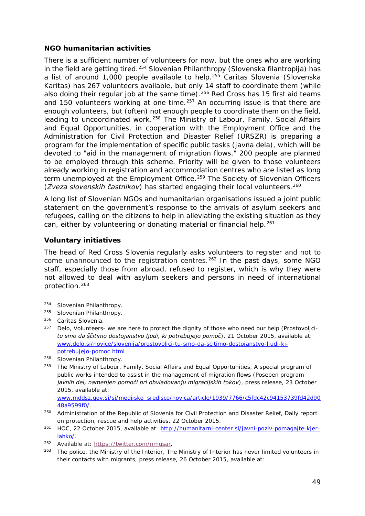#### <span id="page-48-1"></span>**NGO humanitarian activities**

There is a sufficient number of volunteers for now, but the ones who are working in the field are getting tired.[254](#page-48-0) Slovenian Philanthropy (*Slovenska filantropija*) has a list of around 1,000 people available to help.[255](#page-48-1) Caritas Slovenia (*Slovenska Karitas*) has 267 volunteers available, but only 14 staff to coordinate them (while also doing their regular job at the same time).<sup>[256](#page-48-1)</sup> Red Cross has 15 first aid teams and 150 volunteers working at one time.<sup>[257](#page-48-1)</sup> An occurring issue is that there are enough volunteers, but (often) not enough people to coordinate them on the field, leading to uncoordinated work.<sup>[258](#page-48-1)</sup> The Ministry of Labour, Family, Social Affairs and Equal Opportunities, in cooperation with the Employment Office and the Administration for Civil Protection and Disaster Relief (*URSZR*) is preparing a program for the implementation of specific public tasks (*javna dela*), which will be devoted to "aid in the management of migration flows." 200 people are planned to be employed through this scheme. Priority will be given to those volunteers already working in registration and accommodation centres who are listed as long term unemployed at the Employment Office.<sup>259</sup> The Society of Slovenian Officers (Zveza slovenskih častnikov) has started engaging their local volunteers.<sup>[260](#page-48-1)</sup>

A long list of Slovenian NGOs and humanitarian organisations issued a joint public statement on the government's response to the arrivals of asylum seekers and refugees, calling on the citizens to help in alleviating the existing situation as they can, either by volunteering or donating material or financial help.<sup>[261](#page-48-2)</sup>

#### **Voluntary initiatives**

The head of Red Cross Slovenia regularly asks volunteers to register and not to come unannounced to the registration centres.<sup>[262](#page-48-3)</sup> In the past days, some NGO staff, especially those from abroad, refused to register, which is why they were not allowed to deal with asylum seekers and persons in need of international protection.[263](#page-48-1)

[www.mddsz.gov.si/si/medijsko\\_sredisce/novica/article/1939/7766/c5fdc42c94153739fd42d90](http://www.mddsz.gov.si/si/medijsko_sredisce/novica/article/1939/7766/c5fdc42c94153739fd42d9048a9599f0/) [48a9599f0/.](http://www.mddsz.gov.si/si/medijsko_sredisce/novica/article/1939/7766/c5fdc42c94153739fd42d9048a9599f0/)

<span id="page-48-0"></span><sup>254</sup> Slovenian Philanthropy. -

<sup>255</sup> Slovenian Philanthropy.

<sup>256</sup> Caritas Slovenia.

<sup>257</sup> Delo, Volunteers- we are here to protect the dignity of those who need our help (*Prostovoljcitu smo da ščitimo dostojanstvo ljudi, ki potrebujejo pomoč*)*,* 21 October 2015, available at: [www.delo.si/novice/slovenija/prostovoljci-tu-smo-da-scitimo-dostojanstvo-ljudi-ki](http://www.delo.si/novice/slovenija/prostovoljci-tu-smo-da-scitimo-dostojanstvo-ljudi-ki-potrebujejo-pomoc.html)[potrebujejo-pomoc.html](http://www.delo.si/novice/slovenija/prostovoljci-tu-smo-da-scitimo-dostojanstvo-ljudi-ki-potrebujejo-pomoc.html)

<sup>258</sup> Slovenian Philanthropy.

<sup>259</sup> The Ministry of Labour, Family, Social Affairs and Equal Opportunities*,* A special program of public works intended to assist in the management of migration flows (*Poseben program javnih del, namenjen pomoči pri obvladovanju migracijskih tokov*), press release, 23 October 2015, available at:

<sup>260</sup> Administration of the Republic of Slovenia for Civil Protection and Disaster Relief, *Daily report on protection, rescue and help activities*, 22 October 2015.

<span id="page-48-2"></span><sup>&</sup>lt;sup>261</sup> HOC, 22 October 2015, available at: [http://humanitarni-center.si/javni-poziv-pomagajte-kjer](http://humanitarni-center.si/javni-poziv-pomagajte-kjer-lahko/)[lahko/.](http://humanitarni-center.si/javni-poziv-pomagajte-kjer-lahko/)

<span id="page-48-3"></span><sup>262</sup> Available at: [https://twitter.com/nmusar.](https://twitter.com/nmusar)

<sup>263</sup> The police, the Ministry of the Interior, *The Ministry of Interior has never limited volunteers in their contacts with migrants,* press release, 26 October 2015, available at: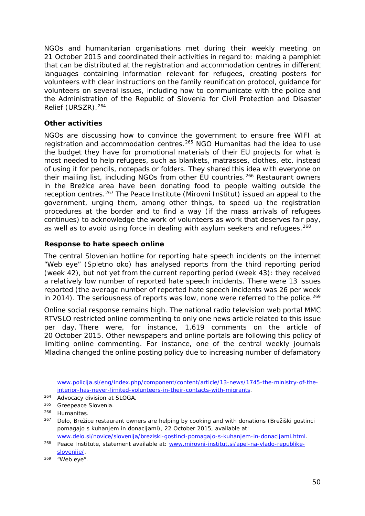<span id="page-49-2"></span>NGOs and humanitarian organisations met during their weekly meeting on 21 October 2015 and coordinated their activities in regard to: making a pamphlet that can be distributed at the registration and accommodation centres in different languages containing information relevant for refugees, creating posters for volunteers with clear instructions on the family reunification protocol, guidance for volunteers on several issues, including how to communicate with the police and the Administration of the Republic of Slovenia for Civil Protection and Disaster Relief *(URSZR*)[.264](#page-49-0)

#### **Other activities**

NGOs are discussing how to convince the government to ensure free WIFI at registration and accommodation centres.<sup>[265](#page-49-1)</sup> NGO Humanitas had the idea to use the budget they have for promotional materials of their EU projects for what is most needed to help refugees, such as blankets, matrasses, clothes, etc. instead of using it for pencils, notepads or folders. They shared this idea with everyone on their mailing list, including NGOs from other EU countries.<sup>[266](#page-49-2)</sup> Restaurant owners in the Brežice area have been donating food to people waiting outside the reception centres.[267](#page-49-2) The Peace Institute (*Mirovni Inštitut*) issued an appeal to the government, urging them, among other things, to speed up the registration procedures at the border and to find a way (if the mass arrivals of refugees continues) to acknowledge the work of volunteers as work that deserves fair pay, as well as to avoid using force in dealing with asylum seekers and refugees.<sup>[268](#page-49-2)</sup>

#### **Response to hate speech online**

The central Slovenian hotline for reporting hate speech incidents on the internet "Web eye" (*Spletno oko*) has analysed reports from the third reporting period (week 42), but not yet from the current reporting period (week 43): they received a relatively low number of reported hate speech incidents. There were 13 issues reported (the average number of reported hate speech incidents was 26 per week in 2014). The seriousness of reports was low, none were referred to the police.<sup>[269](#page-49-3)</sup>

Online social response remains high. The national radio television web portal MMC RTVSLO restricted online commenting to only one news article related to this issue per day. There were, for instance, 1,619 comments on the article of 20 October 2015. Other newspapers and online portals are following this policy of limiting online commenting. For instance, one of the central weekly journals *Mladina* changed the online posting policy due to increasing number of defamatory

j,

[www.policija.si/eng/index.php/component/content/article/13-news/1745-the-ministry-of-the](http://www.policija.si/eng/index.php/component/content/article/13-news/1745-the-ministry-of-the-interior-has-never-limited-volunteers-in-their-contacts-with-migrants)[interior-has-never-limited-volunteers-in-their-contacts-with-migrants.](http://www.policija.si/eng/index.php/component/content/article/13-news/1745-the-ministry-of-the-interior-has-never-limited-volunteers-in-their-contacts-with-migrants)

<span id="page-49-0"></span><sup>264</sup> Advocacy division at SLOGA.

<span id="page-49-1"></span><sup>265</sup> Greepeace Slovenia.

<sup>266</sup> Humanitas.

<sup>267</sup> Delo, Brežice restaurant owners are helping by cooking and with donations (*Brežiški gostinci pomagajo s kuhanjem in donacijami),* 22 October 2015, available at: [www.delo.si/novice/slovenija/breziski-gostinci-pomagajo-s-kuhanjem-in-donacijami.html.](http://www.delo.si/novice/slovenija/breziski-gostinci-pomagajo-s-kuhanjem-in-donacijami.html)

<sup>&</sup>lt;sup>268</sup> Peace Institute, statement available at: [www.mirovni-institut.si/apel-na-vlado-republike](http://www.mirovni-institut.si/apel-na-vlado-republike-slovenije/)[slovenije/.](http://www.mirovni-institut.si/apel-na-vlado-republike-slovenije/)

<span id="page-49-3"></span><sup>269</sup> "Web eye".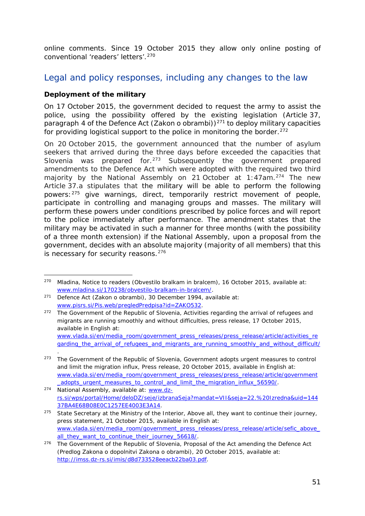<span id="page-50-4"></span>online comments. Since 19 October 2015 they allow only online posting of conventional 'readers' letters'.[270](#page-50-0)

### Legal and policy responses, including any changes to the law

#### **Deployment of the military**

On 17 October 2015, the government decided to request the army to assist the police, using the possibility offered by the existing legislation (Article 37, paragraph 4 of the Defence Act (*Zakon o obrambi*))<sup>[271](#page-50-1)</sup> to deploy military capacities for providing logistical support to the police in monitoring the border.  $272$ 

On 20 October 2015, the government announced that the number of asylum seekers that arrived during the three days before exceeded the capacities that Slovenia was prepared for.<sup>[273](#page-50-3)</sup> Subsequently the government prepared amendments to the Defence Act which were adopted with the required two third majority by the National Assembly on 21 October at 1:47am.<sup>[274](#page-50-4)</sup> The new Article 37.a stipulates that the military will be able to perform the following powers:[275](#page-50-4) give warnings, direct, temporarily restrict movement of people, participate in controlling and managing groups and masses. The military will perform these powers under conditions prescribed by police forces and will report to the police immediately after performance. The amendment states that the military may be activated in such a manner for three months (with the possibility of a three month extension) if the National Assembly, upon a proposal from the government, decides with an absolute majority (majority of all members) that this is necessary for security reasons.<sup>[276](#page-50-4)</sup>

<span id="page-50-0"></span><sup>270</sup> Mladina, Notice to readers (*Obvestilo bralkam in bralcem*), 16 October 2015, available at: [www.mladina.si/170238/obvestilo-bralkam-in-bralcem/.](http://www.mladina.si/170238/obvestilo-bralkam-in-bralcem/) -

<span id="page-50-1"></span><sup>271</sup> Defence Act (*Zakon o obrambi*), 30 December 1994, available at: [www.pisrs.si/Pis.web/pregledPredpisa?id=ZAKO532.](http://www.pisrs.si/Pis.web/pregledPredpisa?id=ZAKO532)

<span id="page-50-2"></span><sup>272</sup> The Government of the Republic of Slovenia, *Activities regarding the arrival of refugees and migrants are running smoothly and without difficulties*, press release, 17 October 2015, available in English at: [www.vlada.si/en/media\\_room/government\\_press\\_releases/press\\_release/article/activities\\_re](http://www.vlada.si/en/media_room/government_press_releases/press_release/article/activities_regarding_the_arrival_of_refugees_and_migrants_are_running_smoothly_and_without_difficult/) [garding\\_the\\_arrival\\_of\\_refugees\\_and\\_migrants\\_are\\_running\\_smoothly\\_and\\_without\\_difficult/](http://www.vlada.si/en/media_room/government_press_releases/press_release/article/activities_regarding_the_arrival_of_refugees_and_migrants_are_running_smoothly_and_without_difficult/)

<span id="page-50-3"></span><sup>.</sup>  <sup>273</sup> The Government of the Republic of Slovenia, *Government adopts urgent measures to control and limit the migration influx*, Press release, 20 October 2015, available in English at: [www.vlada.si/en/media\\_room/government\\_press\\_releases/press\\_release/article/government](http://www.vlada.si/en/media_room/government_press_releases/press_release/article/government_adopts_urgent_measures_to_control_and_limit_the_migration_influx_56590/) [\\_adopts\\_urgent\\_measures\\_to\\_control\\_and\\_limit\\_the\\_migration\\_influx\\_56590/.](http://www.vlada.si/en/media_room/government_press_releases/press_release/article/government_adopts_urgent_measures_to_control_and_limit_the_migration_influx_56590/)

<sup>274</sup> National Assembly, available at: [www.dz](http://www.dz-rs.si/wps/portal/Home/deloDZ/seje/izbranaSeja?mandat=VII&seja=22.%20Izredna&uid=14437BA4E68B08E0C1257EE4003E3A14)[rs.si/wps/portal/Home/deloDZ/seje/izbranaSeja?mandat=VII&seja=22.%20Izredna&uid=144](http://www.dz-rs.si/wps/portal/Home/deloDZ/seje/izbranaSeja?mandat=VII&seja=22.%20Izredna&uid=14437BA4E68B08E0C1257EE4003E3A14) [37BA4E68B08E0C1257EE4003E3A14.](http://www.dz-rs.si/wps/portal/Home/deloDZ/seje/izbranaSeja?mandat=VII&seja=22.%20Izredna&uid=14437BA4E68B08E0C1257EE4003E3A14)

<sup>275</sup> State Secretary at the Ministry of the Interior, *Above all, they want to continue their journey*, press statement, 21 October 2015, available in English at: www.vlada.si/en/media\_room/government\_press\_releases/press\_release/article/sefic\_above all they want to continue their journey 56618/.

<sup>&</sup>lt;sup>276</sup> The Government of the Republic of Slovenia, Proposal of the Act amending the Defence Act (*Predlog Zakona o dopolnitvi Zakona o obrambi*), 20 October 2015, available at: [http://imss.dz-rs.si/imis/d8d733528eeacb22ba03.pdf.](http://imss.dz-rs.si/imis/d8d733528eeacb22ba03.pdf)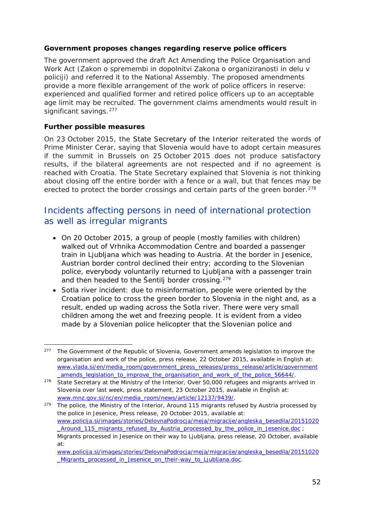#### **Government proposes changes regarding reserve police officers**

The government approved the draft Act Amending the Police Organisation and Work Act (*Zakon o spremembi in dopolnitvi Zakona o organiziranosti in delu v policiji*) and referred it to the National Assembly. The proposed amendments provide a more flexible arrangement of the work of police officers in reserve: experienced and qualified former and retired police officers up to an acceptable age limit may be recruited. The government claims amendments would result in significant savings.<sup>[277](#page-51-0)</sup>

#### **Further possible measures**

On 23 October 2015, the State Secretary of the Interior reiterated the words of Prime Minister Cerar, saying that Slovenia would have to adopt certain measures if the summit in Brussels on 25 October 2015 does not produce satisfactory results, if the bilateral agreements are not respected and if no agreement is reached with Croatia. The State Secretary explained that Slovenia is not thinking about closing off the entire border with a fence or a wall, but that fences may be erected to protect the border crossings and certain parts of the green border.<sup>[278](#page-51-1)</sup>

### Incidents affecting persons in need of international protection as well as irregular migrants

- On 20 October 2015, a group of people (mostly families with children) walked out of Vrhnika Accommodation Centre and boarded a passenger train in Ljubljana which was heading to Austria. At the border in Jesenice, Austrian border control declined their entry; according to the Slovenian police, everybody voluntarily returned to Ljubljana with a passenger train and then headed to the Šentilj border crossing.[279](#page-51-2)
- *Sotla river incident*: due to misinformation, people were oriented by the Croatian police to cross the green border to Slovenia in the night and, as a result, ended up wading across the Sotla river. There were very small children among the wet and freezing people. It is evident from a video made by a Slovenian police helicopter that the Slovenian police and

<span id="page-51-2"></span><sup>279</sup> The police, the Ministry of the Interior, *Around 115 migrants refused by Austria processed by the police in Jesenice*, Press release, 20 October 2015, available at: [www.policija.si/images/stories/DelovnaPodrocja/meja/migracije/angleska\\_besedila/20151020](http://www.policija.si/images/stories/DelovnaPodrocja/meja/migracije/angleska_besedila/20151020_Around_115_migrants_refused_by_Austria_processed_by_the_police_in_Jesenice.doc) [\\_Around\\_115\\_migrants\\_refused\\_by\\_Austria\\_processed\\_by\\_the\\_police\\_in\\_Jesenice.doc](http://www.policija.si/images/stories/DelovnaPodrocja/meja/migracije/angleska_besedila/20151020_Around_115_migrants_refused_by_Austria_processed_by_the_police_in_Jesenice.doc) ; *Migrants processed in Jesenice on their way to Ljubljana*, press release, 20 October, available at:

<span id="page-51-0"></span><sup>277</sup> The Government of the Republic of Slovenia, *Government amends legislation to improve the organisation and work of the police*, press release, 22 October 2015, available in English at: [www.vlada.si/en/media\\_room/government\\_press\\_releases/press\\_release/article/government](http://www.vlada.si/en/media_room/government_press_releases/press_release/article/government_amends_legislation_to_improve_the_organisation_and_work_of_the_police_56644/) amends legislation to improve the organisation and work of the police 56644/. j,

<span id="page-51-1"></span><sup>278</sup> State Secretary at the Ministry of the Interior, *Over 50,000 refugees and migrants arrived in Slovenia over last week*, press statement, 23 October 2015, available in English at: [www.mnz.gov.si/nc/en/media\\_room/news/article/12137/9439/.](http://www.mnz.gov.si/nc/en/media_room/news/article/12137/9439/)

[www.policija.si/images/stories/DelovnaPodrocja/meja/migracije/angleska\\_besedila/20151020](http://www.policija.si/images/stories/DelovnaPodrocja/meja/migracije/angleska_besedila/20151020_Migrants_processed_in_Jesenice_on_their-way_to_Ljubljana.doc) Migrants processed in Jesenice on their-way to Liubliana.doc.